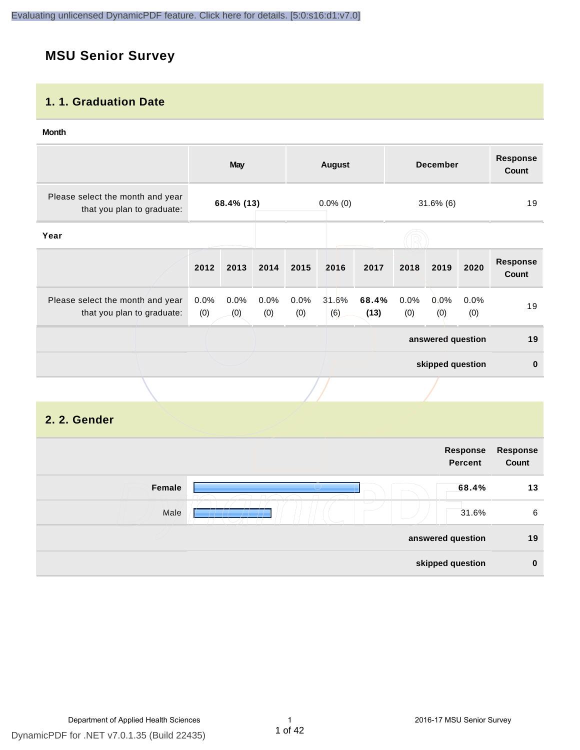# **MSU Senior Survey**

#### **1. 1. Graduation Date**

#### **Month**

| Please select the month and year<br>68.4% (13)<br>$0.0\%$ (0)<br>$31.6\%$ (6)<br>that you plan to graduate:<br>Year<br><b>Response</b><br>2012<br>2013<br>2014<br>2017<br>2018<br>2020<br>2015<br>2016<br>2019<br><b>Count</b> | 19           |
|--------------------------------------------------------------------------------------------------------------------------------------------------------------------------------------------------------------------------------|--------------|
|                                                                                                                                                                                                                                |              |
|                                                                                                                                                                                                                                |              |
|                                                                                                                                                                                                                                |              |
| 31.6%<br>68.4%<br>0.0%<br>0.0%<br>0.0%<br>0.0%<br>0.0%<br>0.0%<br>Please select the month and year<br>$0.0\%$<br>(0)<br>(6)<br>(13)<br>(0)<br>(0)<br>that you plan to graduate:<br>(0)<br>(0)<br>(0)<br>(0)                    | 19           |
| answered question                                                                                                                                                                                                              | 19           |
| skipped question                                                                                                                                                                                                               | $\mathbf{0}$ |
|                                                                                                                                                                                                                                |              |

#### **2. 2. Gender**

|        | Response<br><b>Percent</b> | Response<br>Count |
|--------|----------------------------|-------------------|
| Female | 68.4%                      | 13                |
| Male   | 31.6%                      | 6                 |
|        | answered question          | 19                |
|        | skipped question           | $\bf{0}$          |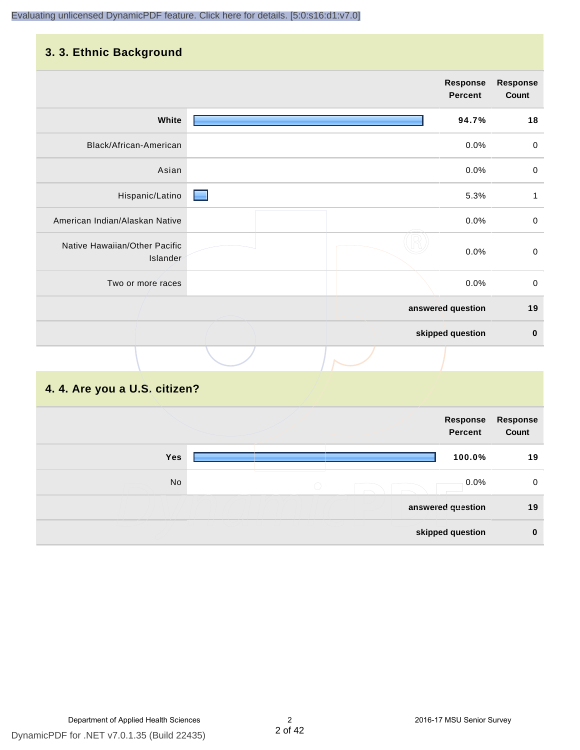### **3. 3. Ethnic Background**

|                                           | Response<br><b>Percent</b> |       | <b>Response</b><br>Count |
|-------------------------------------------|----------------------------|-------|--------------------------|
| White                                     |                            | 94.7% | 18                       |
| Black/African-American                    |                            | 0.0%  | $\mathbf 0$              |
| Asian                                     |                            | 0.0%  | $\pmb{0}$                |
| Hispanic/Latino                           |                            | 5.3%  | 1                        |
| American Indian/Alaskan Native            |                            | 0.0%  | $\mathbf 0$              |
| Native Hawaiian/Other Pacific<br>Islander |                            | 0.0%  | $\mathbf 0$              |
| Two or more races                         |                            | 0.0%  | $\mathbf 0$              |
|                                           | answered question          |       | 19                       |
|                                           | skipped question           |       | $\bf{0}$                 |
|                                           |                            |       |                          |

# **4. 4. Are you a U.S. citizen?**

|     |            | Response<br><b>Percent</b> | <b>Response</b><br>Count |
|-----|------------|----------------------------|--------------------------|
| Yes |            | 100.0%                     | 19                       |
| No  | $\bigcirc$ | 0.0%                       | 0                        |
|     |            | answered question          | 19                       |
|     |            | skipped question           | $\bf{0}$                 |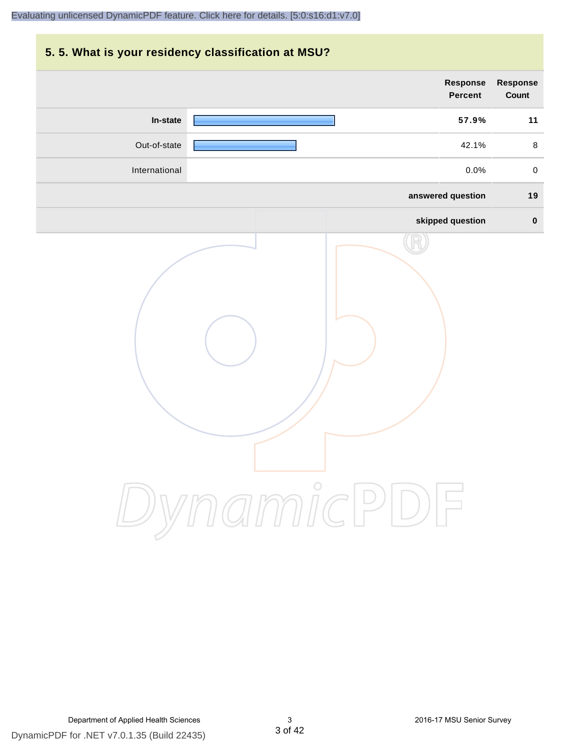# **5. 5. What is your residency classification at MSU? Response Response Percent Count In-state 57.9% 11** Out-of-state 42.1% 8 International 0.0% 0 **answered question 19 skipped question 0** DynamicPDF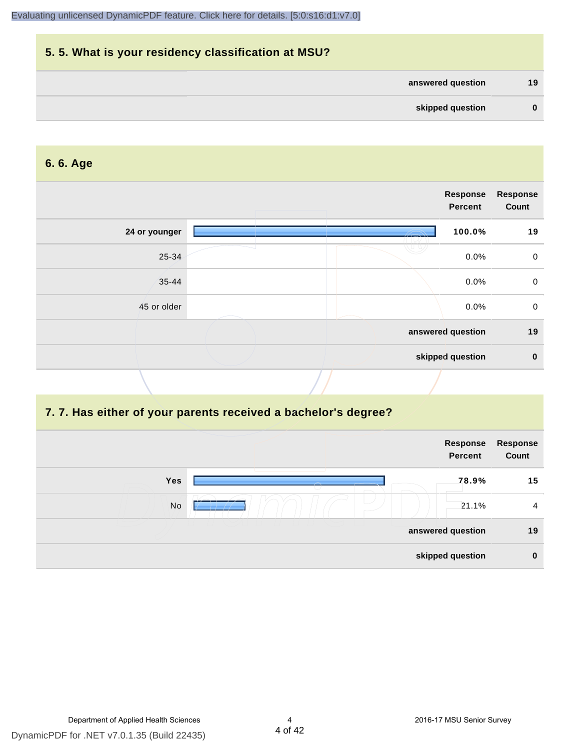| 5.5. What is your residency classification at MSU? |          |
|----------------------------------------------------|----------|
| answered question                                  | 19       |
| skipped question                                   | $\bf{0}$ |

#### **6. 6. Age**

|               | <b>Response</b><br><b>Percent</b> | <b>Response</b><br>Count |
|---------------|-----------------------------------|--------------------------|
| 24 or younger | 100.0%                            | 19                       |
| 25-34         |                                   | 0.0%<br>$\mathbf 0$      |
| $35 - 44$     | 0.0%                              | $\mathbf 0$              |
| 45 or older   |                                   | $\mathbf 0$<br>0.0%      |
|               | answered question                 | 19                       |
|               | skipped question                  | $\mathbf 0$              |
|               |                                   |                          |

#### **7. 7. Has either of your parents received a bachelor's degree?**

|            | Response<br><b>Percent</b> | Response<br>Count |
|------------|----------------------------|-------------------|
| <b>Yes</b> | 78.9%                      | 15                |
| No         | 21.1%                      | $\overline{4}$    |
|            | answered question          | 19                |
|            | skipped question           | $\bf{0}$          |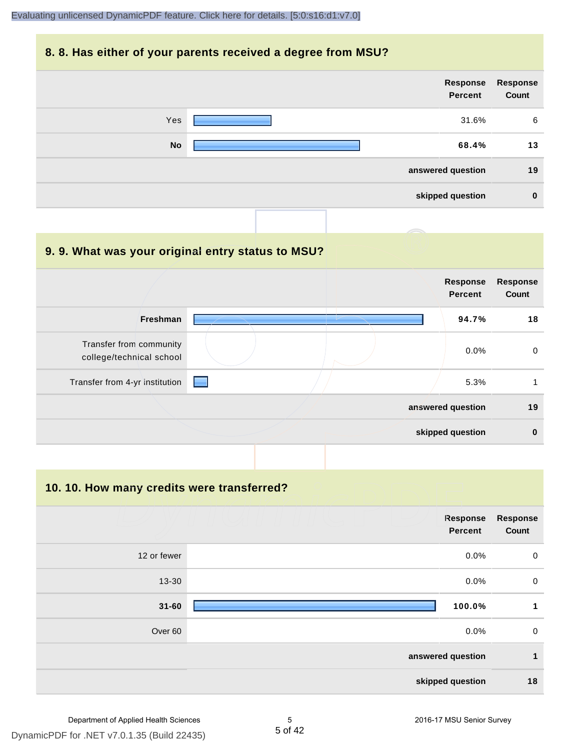#### **8. 8. Has either of your parents received a degree from MSU?**

| Response<br>Count | Response<br><b>Percent</b> |           |
|-------------------|----------------------------|-----------|
| 6                 | 31.6%                      | Yes       |
| 13                | 68.4%                      | <b>No</b> |
| 19                | answered question          |           |
| $\bf{0}$          | skipped question           |           |

| 9.9. What was your original entry status to MSU?    |                            |                          |
|-----------------------------------------------------|----------------------------|--------------------------|
|                                                     | Response<br><b>Percent</b> | <b>Response</b><br>Count |
| <b>Freshman</b>                                     | 94.7%                      | 18                       |
| Transfer from community<br>college/technical school | $0.0\%$                    | 0                        |
| Transfer from 4-yr institution                      | 5.3%                       | 1                        |
|                                                     | answered question          | 19                       |
|                                                     | skipped question           | $\bf{0}$                 |

**10. 10. How many credits were transferred?**

|             | Response<br><b>Percent</b> | <b>Response</b><br>Count |
|-------------|----------------------------|--------------------------|
| 12 or fewer | 0.0%                       | $\mathbf 0$              |
| 13-30       | 0.0%                       | $\mathbf 0$              |
| $31 - 60$   | 100.0%                     | 1                        |
| Over 60     | 0.0%                       | $\mathbf 0$              |
|             | answered question          | $\mathbf{1}$             |
|             | skipped question           | 18                       |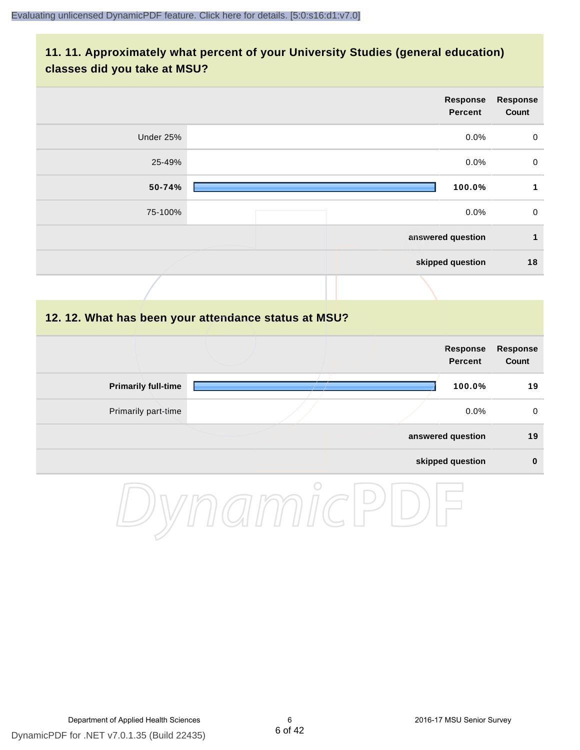#### **11. 11. Approximately what percent of your University Studies (general education) classes did you take at MSU?**

| <b>Response</b><br>Count | Response<br><b>Percent</b> |           |
|--------------------------|----------------------------|-----------|
| 0                        | $0.0\%$                    | Under 25% |
| $\pmb{0}$                | 0.0%                       | 25-49%    |
| 1                        | 100.0%                     | 50-74%    |
| $\mathsf{O}\xspace$      | 0.0%                       | 75-100%   |
| 1                        | answered question          |           |
| 18                       | skipped question           |           |
|                          |                            |           |

#### **12. 12. What has been your attendance status at MSU?**

|                            |  | <b>Response</b><br>Percent | <b>Response</b><br>Count |
|----------------------------|--|----------------------------|--------------------------|
| <b>Primarily full-time</b> |  | 100.0%                     | 19                       |
| Primarily part-time        |  | $0.0\%$                    | $\mathbf 0$              |
|                            |  | answered question          | 19                       |
|                            |  | skipped question           | $\bf{0}$                 |

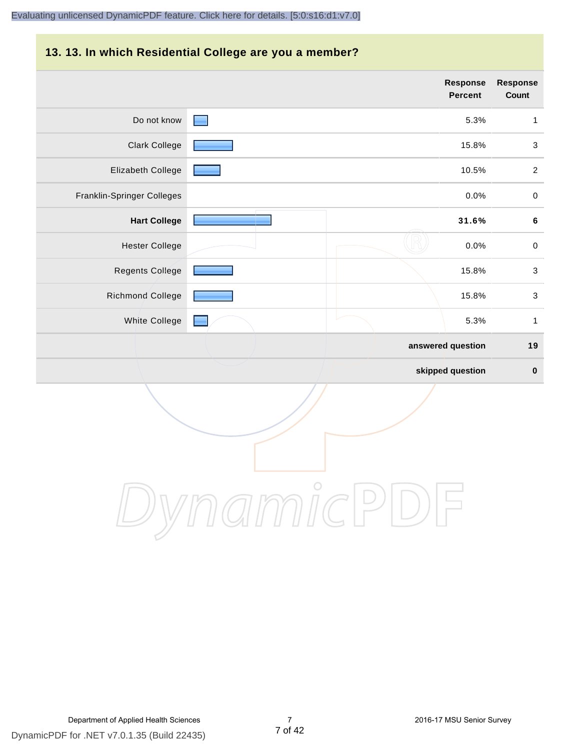# **13. 13. In which Residential College are you a member?**

|                            |  | <b>Response</b><br><b>Percent</b> | <b>Response</b><br>Count  |
|----------------------------|--|-----------------------------------|---------------------------|
| Do not know                |  | 5.3%                              | $\mathbf{1}$              |
| <b>Clark College</b>       |  | 15.8%                             | $\ensuremath{\mathsf{3}}$ |
| Elizabeth College          |  | 10.5%                             | $\overline{2}$            |
| Franklin-Springer Colleges |  | 0.0%                              | $\,0\,$                   |
| <b>Hart College</b>        |  | 31.6%                             | $\bf 6$                   |
| <b>Hester College</b>      |  | 0.0%                              | $\pmb{0}$                 |
| Regents College            |  | 15.8%                             | $\ensuremath{\mathsf{3}}$ |
| Richmond College           |  | 15.8%                             | $\mathbf{3}$              |
| White College              |  | 5.3%                              | $\mathbf{1}$              |
|                            |  | answered question                 | 19                        |
|                            |  | skipped question                  | $\mathbf 0$               |

DynamicPDF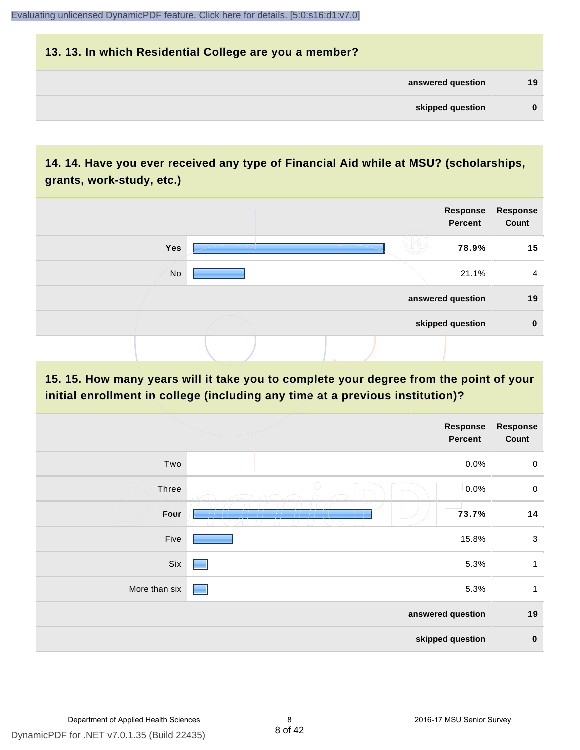# **13. 13. In which Residential College are you a member? answered question 19 skipped question 0**

# **14. 14. Have you ever received any type of Financial Aid while at MSU? (scholarships, grants, work-study, etc.)**



#### **15. 15. How many years will it take you to complete your degree from the point of your initial enrollment in college (including any time at a previous institution)?**

|               | <b>Response</b><br><b>Percent</b>               | <b>Response</b><br>Count |
|---------------|-------------------------------------------------|--------------------------|
| Two           | 0.0%                                            | $\mathbf 0$              |
| Three         | $\bigcirc$<br>0.0%                              | $\pmb{0}$                |
| Four          | 73.7%<br>___________________________<br>1 T 1 1 | 14                       |
| Five          | 15.8%                                           | $\mathsf 3$              |
| Six           | 5.3%<br>٠                                       | 1                        |
| More than six | 5.3%<br>╾                                       | $\mathbf{1}$             |
|               | answered question                               | 19                       |
|               | skipped question                                | $\pmb{0}$                |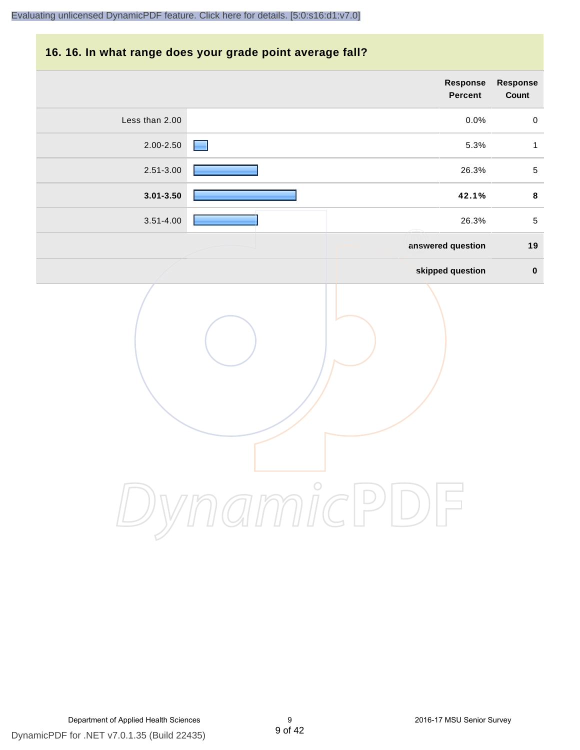#### **16. 16. In what range does your grade point average fall?**

|                | <b>Response</b><br>Percent | <b>Response</b><br>Count |
|----------------|----------------------------|--------------------------|
| Less than 2.00 | 0.0%                       | $\pmb{0}$                |
| $2.00 - 2.50$  | 5.3%                       | $\mathbf{1}$             |
| $2.51 - 3.00$  | 26.3%                      | $\sqrt{5}$               |
| $3.01 - 3.50$  | 42.1%                      | $\pmb{8}$                |
| $3.51 - 4.00$  | 26.3%                      | $\,$ 5 $\,$              |
|                | answered question          | 19                       |
|                | skipped question           | $\pmb{0}$                |
|                | $\bigcirc$                 |                          |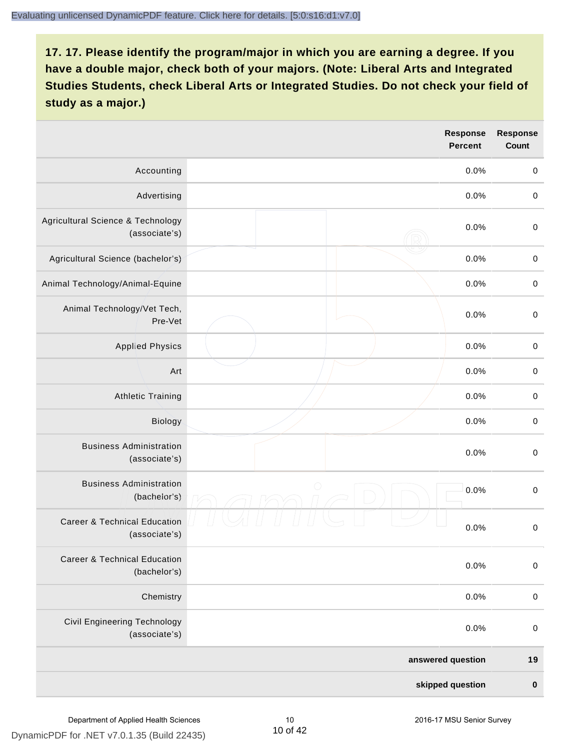|                                                          |            | <b>Response</b><br><b>Percent</b> | <b>Response</b><br><b>Count</b> |
|----------------------------------------------------------|------------|-----------------------------------|---------------------------------|
| Accounting                                               |            | 0.0%                              | $\boldsymbol{0}$                |
| Advertising                                              |            | 0.0%                              | $\pmb{0}$                       |
| Agricultural Science & Technology<br>(associate's)       |            | 0.0%                              | $\pmb{0}$                       |
| Agricultural Science (bachelor's)                        |            | 0.0%                              | $\pmb{0}$                       |
| Animal Technology/Animal-Equine                          |            | 0.0%                              | $\,0\,$                         |
| Animal Technology/Vet Tech,<br>Pre-Vet                   |            | 0.0%                              | $\mathbf 0$                     |
| <b>Applied Physics</b>                                   |            | 0.0%                              | $\mathbf 0$                     |
| Art                                                      |            | 0.0%                              | $\mathbf 0$                     |
| <b>Athletic Training</b>                                 |            | 0.0%                              | $\boldsymbol{0}$                |
| Biology                                                  |            | 0.0%                              | $\boldsymbol{0}$                |
| <b>Business Administration</b><br>(associate's)          |            | 0.0%                              | $\pmb{0}$                       |
| <b>Business Administration</b><br>(bachelor's)           | $\bigcirc$ | 0.0%                              | $\mathbf 0$                     |
| <b>Career &amp; Technical Education</b><br>(associate's) |            | 0.0%                              | $\boldsymbol{0}$                |
| <b>Career &amp; Technical Education</b><br>(bachelor's)  |            | 0.0%                              | $\mathbf 0$                     |
| Chemistry                                                |            | 0.0%                              | $\boldsymbol{0}$                |
| <b>Civil Engineering Technology</b><br>(associate's)     |            | 0.0%                              | $\boldsymbol{0}$                |
|                                                          |            | answered question                 | 19                              |
|                                                          |            | skipped question                  | $\pmb{0}$                       |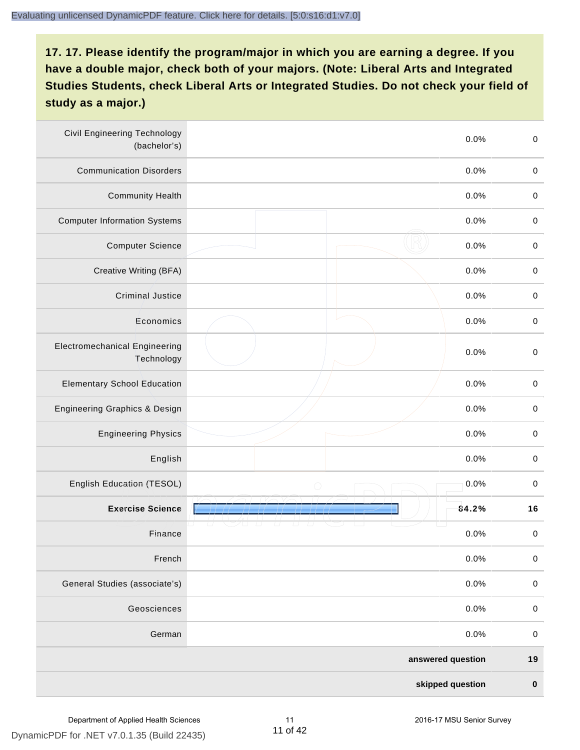| <b>Civil Engineering Technology</b><br>(bachelor's) |            | 0.0%              | $\mbox{O}$  |
|-----------------------------------------------------|------------|-------------------|-------------|
| <b>Communication Disorders</b>                      |            | 0.0%              | $\mathbf 0$ |
| <b>Community Health</b>                             |            | 0.0%              | $\pmb{0}$   |
| <b>Computer Information Systems</b>                 |            | 0.0%              | $\,0\,$     |
| <b>Computer Science</b>                             |            | 0.0%              | $\mathbf 0$ |
| Creative Writing (BFA)                              |            | 0.0%              | $\mathbf 0$ |
| <b>Criminal Justice</b>                             |            | 0.0%              | $\mathbf 0$ |
| Economics                                           |            | 0.0%              | $\pmb{0}$   |
| <b>Electromechanical Engineering</b><br>Technology  |            | 0.0%              | $\pmb{0}$   |
| <b>Elementary School Education</b>                  |            | 0.0%              | $\mathbf 0$ |
| <b>Engineering Graphics &amp; Design</b>            |            | 0.0%              | $\pmb{0}$   |
| <b>Engineering Physics</b>                          |            | 0.0%              | $\pmb{0}$   |
| English                                             |            | 0.0%              | $\pmb{0}$   |
| English Education (TESOL)                           | $\bigcirc$ | 0.0%              | $\mathbf 0$ |
| <b>Exercise Science</b>                             |            | 84.2%             | 16          |
| Finance                                             |            | 0.0%              | $\,0\,$     |
| French                                              |            | 0.0%              | $\pmb{0}$   |
| General Studies (associate's)                       |            | 0.0%              | $\mathbf 0$ |
| Geosciences                                         |            | 0.0%              | $\mathbf 0$ |
| German                                              |            | 0.0%              | $\pmb{0}$   |
|                                                     |            | answered question | 19          |
|                                                     |            | skipped question  | $\pmb{0}$   |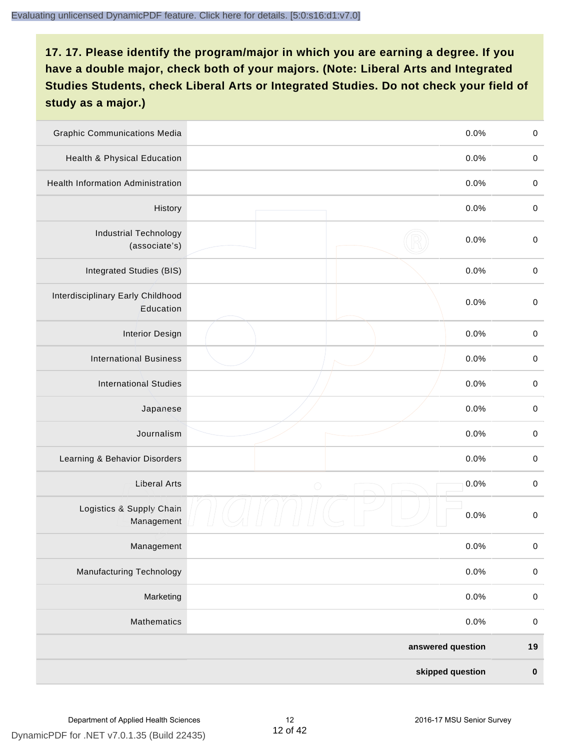| <b>Graphic Communications Media</b>            |            | 0.0%              | $\pmb{0}$   |
|------------------------------------------------|------------|-------------------|-------------|
| Health & Physical Education                    |            | 0.0%              | $\pmb{0}$   |
| <b>Health Information Administration</b>       |            | 0.0%              | $\pmb{0}$   |
| History                                        |            | 0.0%              | $\pmb{0}$   |
| <b>Industrial Technology</b><br>(associate's)  |            | 0.0%              | $\mathbf 0$ |
| Integrated Studies (BIS)                       |            | 0.0%              | $\mathbf 0$ |
| Interdisciplinary Early Childhood<br>Education |            | 0.0%              | $\mathbf 0$ |
| <b>Interior Design</b>                         |            | 0.0%              | $\pmb{0}$   |
| <b>International Business</b>                  |            | 0.0%              | $\mathbf 0$ |
| <b>International Studies</b>                   |            | 0.0%              | $\,0\,$     |
| Japanese                                       |            | 0.0%              | $\pmb{0}$   |
| Journalism                                     |            | 0.0%              | $\pmb{0}$   |
| Learning & Behavior Disorders                  |            | 0.0%              | $\pmb{0}$   |
| <b>Liberal Arts</b>                            | $\bigcirc$ | 0.0%              | $\pmb{0}$   |
| Logistics & Supply Chain<br>Management         |            | 0.0%              | $\pmb{0}$   |
| Management                                     |            | 0.0%              | $\pmb{0}$   |
| <b>Manufacturing Technology</b>                |            | 0.0%              | $\mathbf 0$ |
| Marketing                                      |            | 0.0%              | $\mathbf 0$ |
| Mathematics                                    |            | 0.0%              | $\,0\,$     |
|                                                |            | answered question | $19$        |
|                                                |            | skipped question  | $\pmb{0}$   |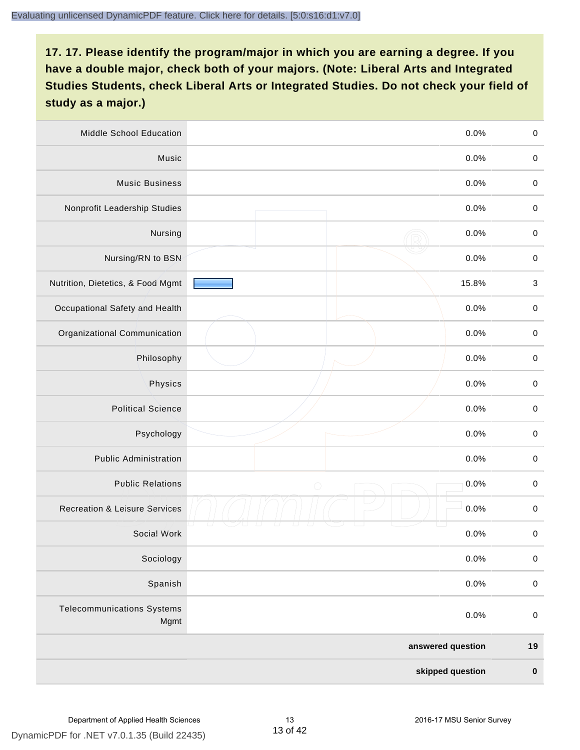| Middle School Education                   |                   | 0.0%  | $\,0\,$     |
|-------------------------------------------|-------------------|-------|-------------|
| Music                                     |                   | 0.0%  | $\mathbf 0$ |
| <b>Music Business</b>                     |                   | 0.0%  | $\mathbf 0$ |
| Nonprofit Leadership Studies              |                   | 0.0%  | $\pmb{0}$   |
| Nursing                                   |                   | 0.0%  | $\pmb{0}$   |
| Nursing/RN to BSN                         |                   | 0.0%  | $\,0\,$     |
| Nutrition, Dietetics, & Food Mgmt         |                   | 15.8% | $\sqrt{3}$  |
| Occupational Safety and Health            |                   | 0.0%  | $\mathbf 0$ |
| Organizational Communication              |                   | 0.0%  | $\pmb{0}$   |
| Philosophy                                |                   | 0.0%  | $\pmb{0}$   |
| Physics                                   |                   | 0.0%  | $\,0\,$     |
| <b>Political Science</b>                  |                   | 0.0%  | $\,0\,$     |
| Psychology                                |                   | 0.0%  | $\pmb{0}$   |
| <b>Public Administration</b>              |                   | 0.0%  | $\pmb{0}$   |
| <b>Public Relations</b>                   | $\bigcirc$        | 0.0%  | $\pmb{0}$   |
| <b>Recreation &amp; Leisure Services</b>  |                   | 0.0%  | $\,0\,$     |
| Social Work                               |                   | 0.0%  | $\,0\,$     |
| Sociology                                 |                   | 0.0%  | $\mathbf 0$ |
| Spanish                                   |                   | 0.0%  | $\pmb{0}$   |
| <b>Telecommunications Systems</b><br>Mgmt |                   | 0.0%  | $\mathbf 0$ |
|                                           | answered question |       | $19$        |
|                                           | skipped question  |       | $\pmb{0}$   |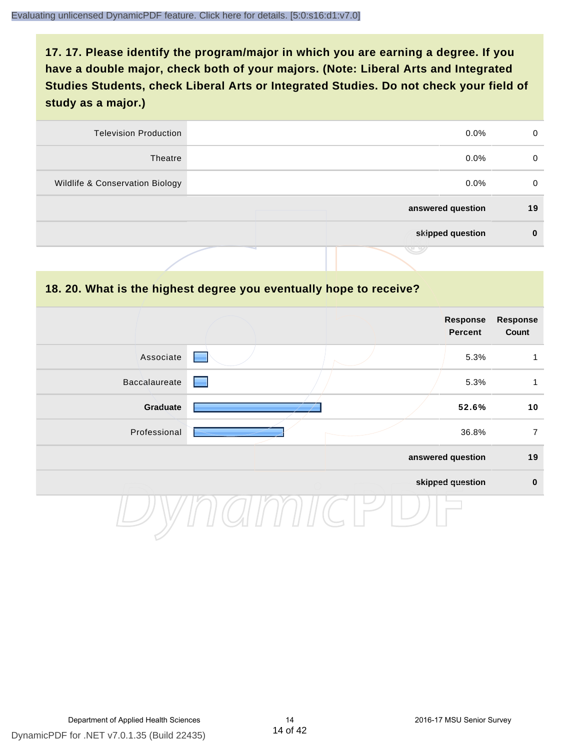| <b>Television Production</b>    | $0.0\%$           | 0  |
|---------------------------------|-------------------|----|
| Theatre                         | $0.0\%$           | 0  |
| Wildlife & Conservation Biology | $0.0\%$           | 0  |
|                                 | answered question | 19 |
|                                 | skipped question  |    |
|                                 | マン                |    |

#### **18. 20. What is the highest degree you eventually hope to receive?**

|               | Response<br>Percent | <b>Response</b><br>Count |
|---------------|---------------------|--------------------------|
| Associate     | 5.3%                | 1                        |
| Baccalaureate | 5.3%                | 1                        |
| Graduate      | 52.6%               | 10                       |
| Professional  | 36.8%               | $\overline{7}$           |
|               | answered question   | 19                       |
|               | skipped question    | $\mathbf 0$              |
|               |                     |                          |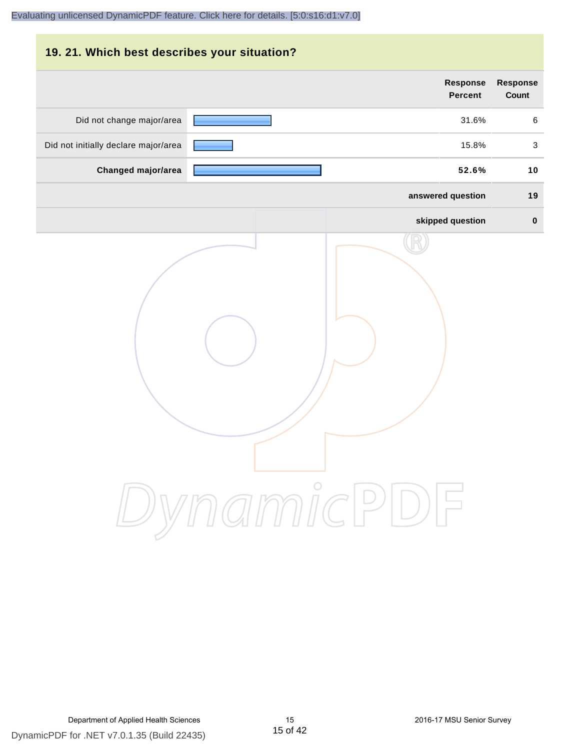# **19. 21. Which best describes your situation? Response Response Percent Count** Did not change major/area 31.6% 6 Did not initially declare major/area **15.8%** 3 **Changed major/area 52.6% 10 answered question 19 skipped question 0** DynamicPDF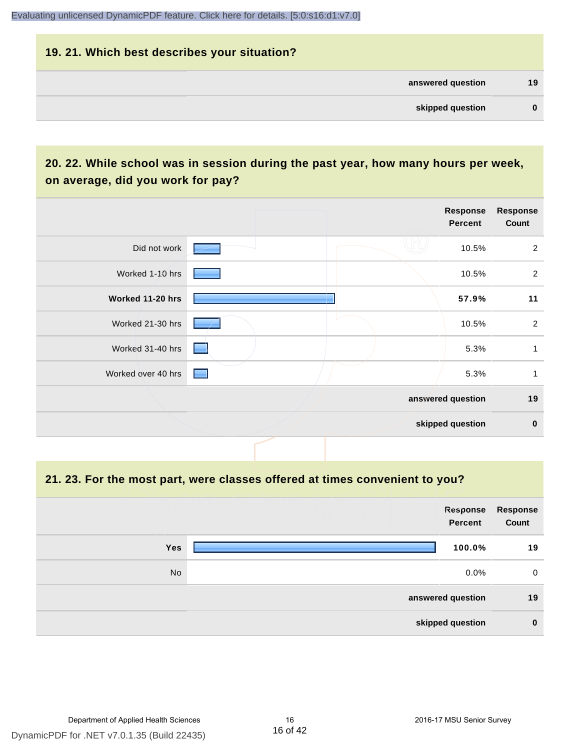# **19. 21. Which best describes your situation? answered question 19 skipped question 0**

# **20. 22. While school was in session during the past year, how many hours per week, on average, did you work for pay?**

|                    |                 | Response<br>Percent | <b>Response</b><br>Count |
|--------------------|-----------------|---------------------|--------------------------|
| Did not work       |                 | 10.5%               | $\overline{2}$           |
| Worked 1-10 hrs    |                 | 10.5%               | $\overline{2}$           |
| Worked 11-20 hrs   |                 | 57.9%               | 11                       |
| Worked 21-30 hrs   |                 | 10.5%               | $\overline{2}$           |
| Worked 31-40 hrs   | <b>Contract</b> | 5.3%                | 1                        |
| Worked over 40 hrs | a an            | 5.3%                | 1                        |
|                    |                 | answered question   | 19                       |
|                    |                 | skipped question    | $\pmb{0}$                |

#### **21. 23. For the most part, were classes offered at times convenient to you?**

|            | Response<br>Percent | <b>Response</b><br>Count |
|------------|---------------------|--------------------------|
| <b>Yes</b> | 100.0%              | 19                       |
| No         | $0.0\%$             | $\mathbf 0$              |
|            | answered question   | 19                       |
|            | skipped question    | $\bf{0}$                 |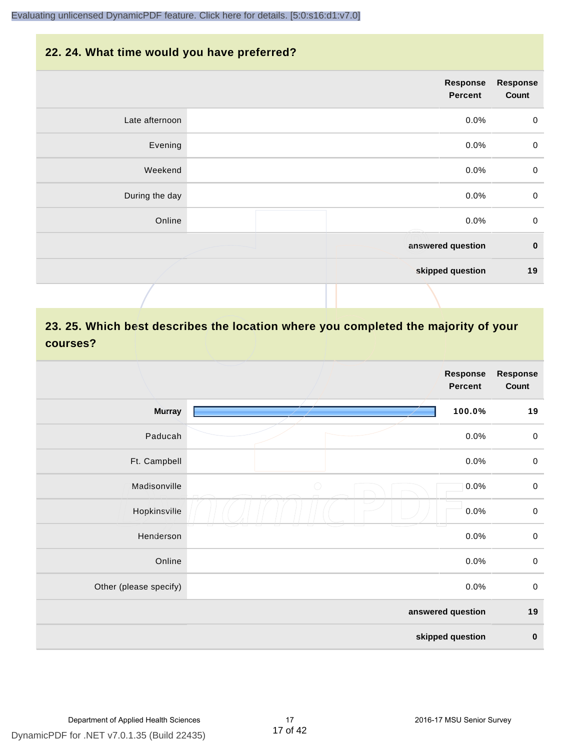#### **22. 24. What time would you have preferred?**

|                | Response<br>Percent | <b>Response</b><br>Count |
|----------------|---------------------|--------------------------|
| Late afternoon | 0.0%                | $\pmb{0}$                |
| Evening        | 0.0%                | $\pmb{0}$                |
| Weekend        | 0.0%                | $\pmb{0}$                |
| During the day | 0.0%                | $\mathbf 0$              |
| Online         | 0.0%                | $\mathbf 0$              |
|                | answered question   | $\bf{0}$                 |
|                | skipped question    | 19                       |
|                |                     |                          |

# **23. 25. Which best describes the location where you completed the majority of your courses?**

|                        |            | <b>Response</b><br><b>Percent</b> | <b>Response</b><br>Count |
|------------------------|------------|-----------------------------------|--------------------------|
| <b>Murray</b>          |            | 100.0%                            | 19                       |
| Paducah                |            | 0.0%                              | $\mathbf 0$              |
| Ft. Campbell           |            | 0.0%                              | $\pmb{0}$                |
| Madisonville           | $\bigcirc$ | 0.0%                              | $\mathbf 0$              |
| Hopkinsville           |            | 0.0%                              | $\pmb{0}$                |
| Henderson              |            | 0.0%                              | $\mathbf 0$              |
| Online                 |            | 0.0%                              | $\pmb{0}$                |
| Other (please specify) |            | 0.0%                              | $\mathbf 0$              |
|                        |            | answered question                 | 19                       |
|                        |            | skipped question                  | $\pmb{0}$                |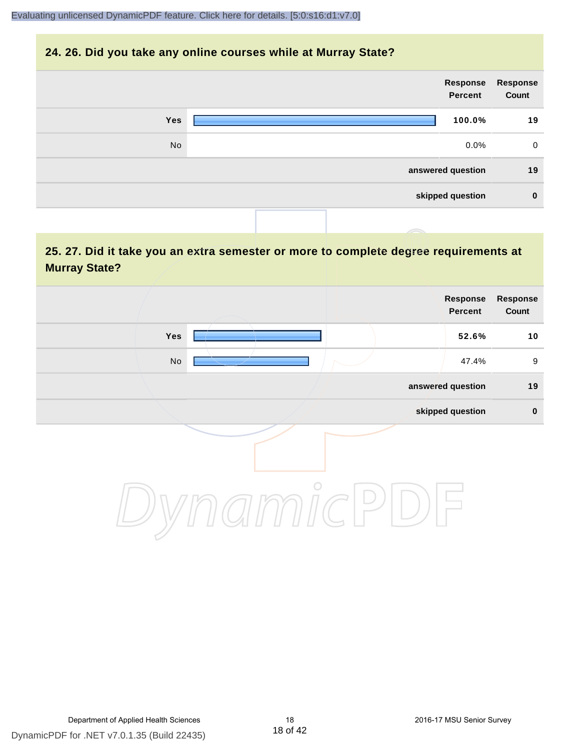#### **24. 26. Did you take any online courses while at Murray State?**

|            | Response<br>Percent | Response<br>Count |
|------------|---------------------|-------------------|
| <b>Yes</b> | 100.0%              | 19                |
| No         | $0.0\%$             | $\mathbf 0$       |
|            | answered question   | 19                |
|            | skipped question    | $\mathbf 0$       |
|            |                     |                   |

# **25. 27. Did it take you an extra semester or more to complete degree requirements at Murray State?**

| <b>Response</b><br>Count | Response<br>Percent |  |                              |  |
|--------------------------|---------------------|--|------------------------------|--|
| 10                       | 52.6%               |  | Yes                          |  |
| $\boldsymbol{9}$         | 47.4%               |  | $\operatorname{\mathsf{No}}$ |  |
| 19                       | answered question   |  |                              |  |
| $\pmb{0}$                | skipped question    |  |                              |  |
|                          |                     |  |                              |  |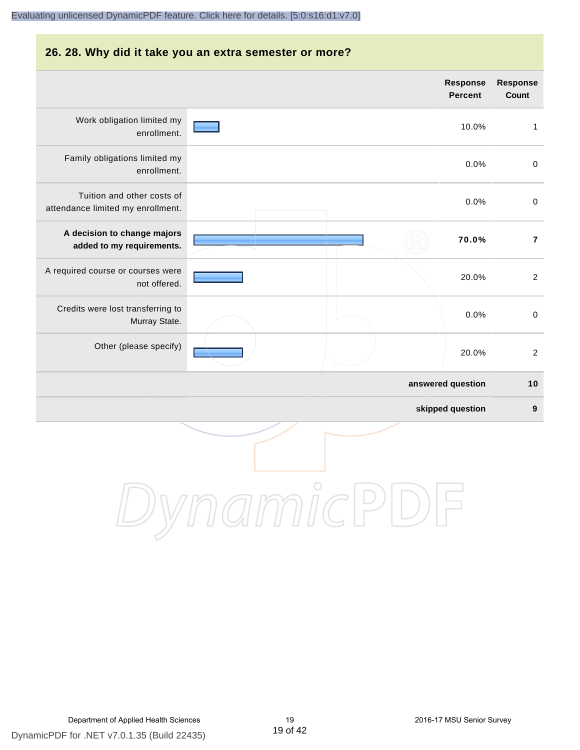#### **26. 28. Why did it take you an extra semester or more?**

|                                                                 |            | <b>Response</b><br><b>Percent</b> | Response<br>Count |
|-----------------------------------------------------------------|------------|-----------------------------------|-------------------|
| Work obligation limited my<br>enrollment.                       |            | 10.0%                             | $\mathbf{1}$      |
| Family obligations limited my<br>enrollment.                    |            | 0.0%                              | $\mathbf 0$       |
| Tuition and other costs of<br>attendance limited my enrollment. |            | 0.0%                              | $\pmb{0}$         |
| A decision to change majors<br>added to my requirements.        |            | 70.0%                             | $\overline{7}$    |
| A required course or courses were<br>not offered.               |            | 20.0%                             | $\overline{2}$    |
| Credits were lost transferring to<br>Murray State.              |            | 0.0%                              | $\pmb{0}$         |
| Other (please specify)                                          |            | 20.0%                             | $\overline{c}$    |
|                                                                 |            | answered question                 | $10$              |
|                                                                 |            | skipped question                  | $\boldsymbol{9}$  |
|                                                                 | $\bigcirc$ |                                   |                   |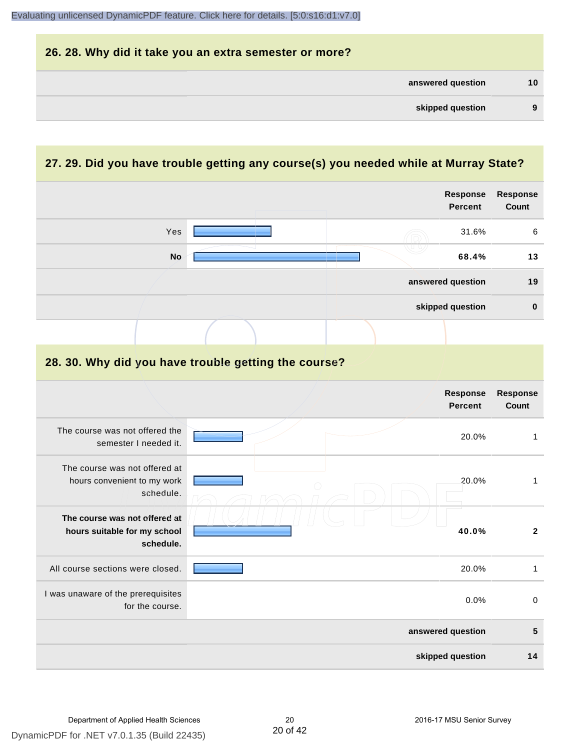

#### **27. 29. Did you have trouble getting any course(s) you needed while at Murray State?**

|                                                                            |  | <b>Response</b><br><b>Percent</b> | <b>Response</b><br>Count        |
|----------------------------------------------------------------------------|--|-----------------------------------|---------------------------------|
| Yes                                                                        |  | 31.6%                             | 6                               |
| <b>No</b>                                                                  |  | 68.4%                             | 13                              |
|                                                                            |  | answered question                 | 19                              |
|                                                                            |  | skipped question                  | $\bf{0}$                        |
|                                                                            |  |                                   |                                 |
| 28. 30. Why did you have trouble getting the course?                       |  |                                   |                                 |
|                                                                            |  | <b>Response</b><br><b>Percent</b> | <b>Response</b><br><b>Count</b> |
| The course was not offered the<br>semester I needed it.                    |  | 20.0%                             | $\mathbf{1}$                    |
| The course was not offered at<br>hours convenient to my work<br>schedule.  |  | 20.0%                             | $\mathbf{1}$                    |
| The course was not offered at<br>hours suitable for my school<br>schedule. |  | 40.0%                             | $\mathbf{2}$                    |
| All course sections were closed.                                           |  | 20.0%                             | $\mathbf{1}$                    |
| I was unaware of the prerequisites<br>for the course.                      |  | 0.0%                              | $\mathbf 0$                     |
|                                                                            |  | answered question                 | 5                               |
|                                                                            |  | skipped question                  | 14                              |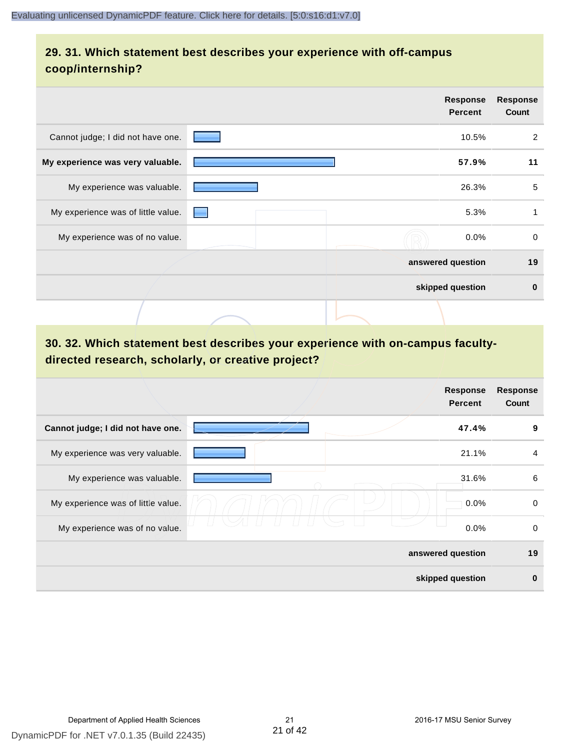# **29. 31. Which statement best describes your experience with off-campus coop/internship?**

|                                    |                                                                                                                                                                                                                                | <b>Response</b><br><b>Percent</b> | <b>Response</b><br>Count |
|------------------------------------|--------------------------------------------------------------------------------------------------------------------------------------------------------------------------------------------------------------------------------|-----------------------------------|--------------------------|
| Cannot judge; I did not have one.  |                                                                                                                                                                                                                                | 10.5%                             | $\overline{2}$           |
| My experience was very valuable.   |                                                                                                                                                                                                                                | 57.9%                             | 11                       |
| My experience was valuable.        |                                                                                                                                                                                                                                | 26.3%                             | 5                        |
| My experience was of little value. | e de la construcción de la construcción de la construcción de la construcción de la construcción de la construcción de la construcción de la construcción de la construcción de la construcción de la construcción de la const | 5.3%                              |                          |
| My experience was of no value.     |                                                                                                                                                                                                                                | 0.0%                              | 0                        |
|                                    |                                                                                                                                                                                                                                | answered question                 | 19                       |
|                                    |                                                                                                                                                                                                                                | skipped question                  | $\bf{0}$                 |
|                                    |                                                                                                                                                                                                                                |                                   |                          |

# **30. 32. Which statement best describes your experience with on-campus facultydirected research, scholarly, or creative project?**

|                                    | <b>Response</b><br><b>Percent</b> | <b>Response</b><br>Count |
|------------------------------------|-----------------------------------|--------------------------|
| Cannot judge; I did not have one.  | 47.4%                             | 9                        |
| My experience was very valuable.   | 21.1%                             | $\overline{4}$           |
| My experience was valuable.        | 31.6%                             | 6                        |
| My experience was of little value. | 0.0%                              | 0                        |
| My experience was of no value.     | 0.0%                              | 0                        |
|                                    | answered question                 | 19                       |
|                                    | skipped question                  | $\bf{0}$                 |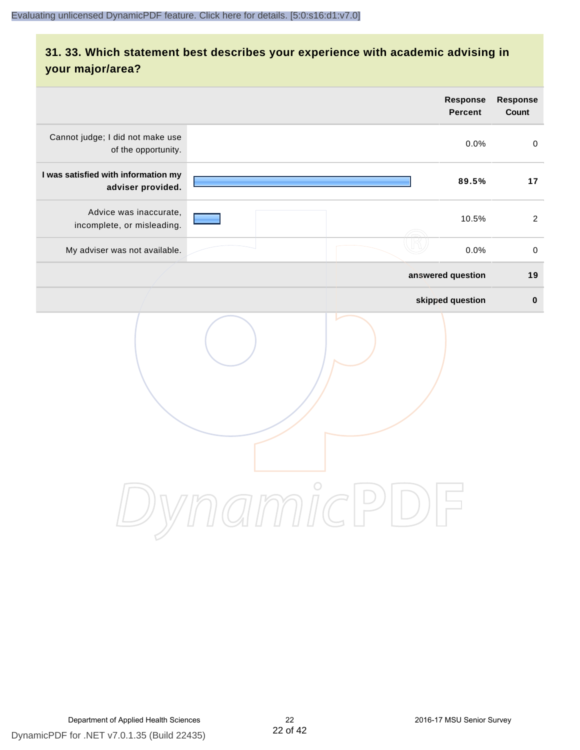# **31. 33. Which statement best describes your experience with academic advising in your major/area?**

|                                                          |                                                         | <b>Response</b><br><b>Percent</b> | Response<br>Count |
|----------------------------------------------------------|---------------------------------------------------------|-----------------------------------|-------------------|
| Cannot judge; I did not make use<br>of the opportunity.  |                                                         | 0.0%                              | $\mathbf 0$       |
| I was satisfied with information my<br>adviser provided. |                                                         | 89.5%                             | 17                |
| Advice was inaccurate,<br>incomplete, or misleading.     |                                                         | 10.5%                             | 2                 |
| My adviser was not available.                            |                                                         | 0.0%                              | $\,0\,$           |
|                                                          |                                                         | answered question                 | 19                |
|                                                          |                                                         | skipped question                  | $\pmb{0}$         |
|                                                          | amicPi<br>$\left( \begin{array}{c} \end{array} \right)$ |                                   |                   |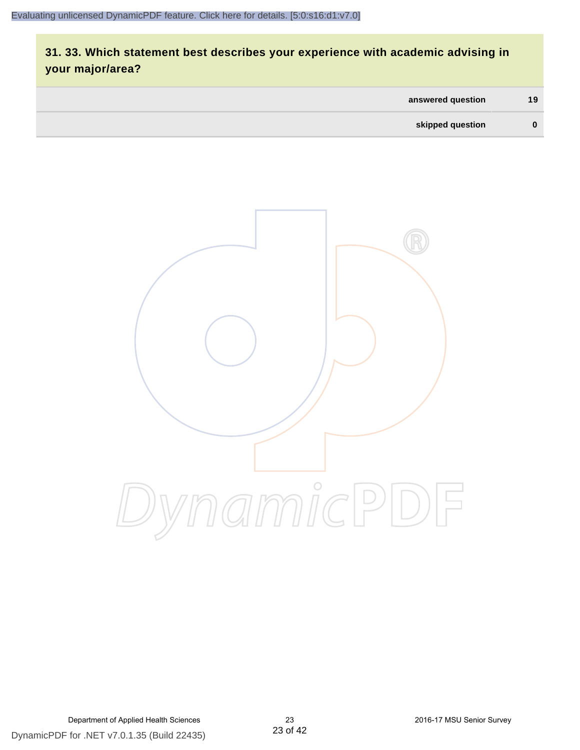# **31. 33. Which statement best describes your experience with academic advising in your major/area?**

| answered question | 19 |
|-------------------|----|
| skipped question  | 0  |

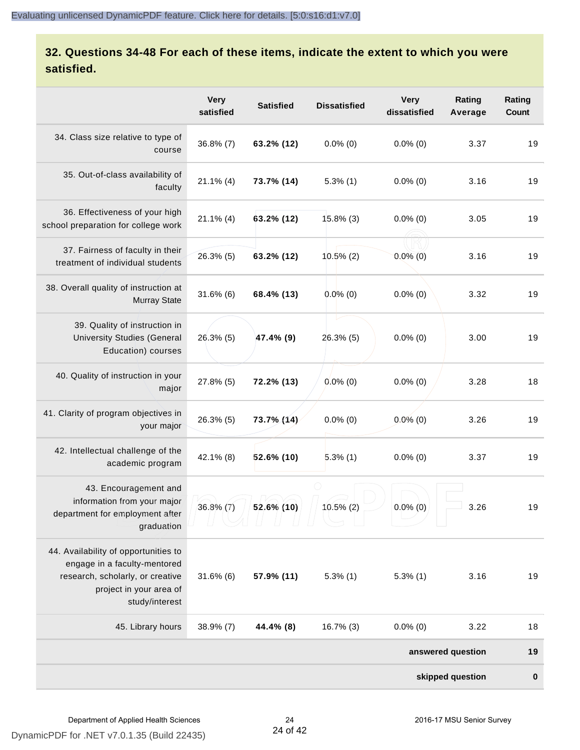# **32. Questions 34-48 For each of these items, indicate the extent to which you were satisfied.**

|                                                                                                                                                       | <b>Very</b><br>satisfied | <b>Satisfied</b> | <b>Dissatisfied</b> | <b>Very</b><br>dissatisfied | Rating<br>Average | Rating<br>Count  |
|-------------------------------------------------------------------------------------------------------------------------------------------------------|--------------------------|------------------|---------------------|-----------------------------|-------------------|------------------|
| 34. Class size relative to type of<br>course                                                                                                          | $36.8\%$ (7)             | 63.2% (12)       | $0.0\%$ (0)         | $0.0\%$ (0)                 | 3.37              | 19               |
| 35. Out-of-class availability of<br>faculty                                                                                                           | $21.1\%$ (4)             | 73.7% (14)       | $5.3\%$ (1)         | $0.0\%$ (0)                 | 3.16              | 19               |
| 36. Effectiveness of your high<br>school preparation for college work                                                                                 | $21.1\%$ (4)             | $63.2\%$ (12)    | 15.8% (3)           | $0.0\%$ (0)                 | 3.05              | 19               |
| 37. Fairness of faculty in their<br>treatment of individual students                                                                                  | 26.3% (5)                | 63.2% (12)       | $10.5\%$ (2)        | $0.0\%$ (0)                 | 3.16              | 19               |
| 38. Overall quality of instruction at<br><b>Murray State</b>                                                                                          | $31.6\%$ (6)             | 68.4% (13)       | $0.0\%$ (0)         | $0.0\%$ (0)                 | 3.32              | 19               |
| 39. Quality of instruction in<br><b>University Studies (General</b><br>Education) courses                                                             | $26.3\%$ (5)             | 47.4% (9)        | 26.3% (5)           | $0.0\%$ (0)                 | 3.00              | 19               |
| 40. Quality of instruction in your<br>major                                                                                                           | 27.8% (5)                | 72.2% (13)       | $0.0\%$ (0)         | $0.0\%$ (0)                 | 3.28              | 18               |
| 41. Clarity of program objectives in<br>your major                                                                                                    | 26.3% (5)                | 73.7% (14)       | $0.0\%$ (0)         | $0.0\%$ (0)                 | 3.26              | 19               |
| 42. Intellectual challenge of the<br>academic program                                                                                                 | 42.1% (8)                | $52.6\%$ (10)    | $5.3\%$ (1)         | $0.0\%$ (0)                 | 3.37              | 19               |
| 43. Encouragement and<br>information from your major<br>department for employment after<br>graduation                                                 | $36.8\% (7)$             | 52.6% (10)       | 10.5% (2)           | $0.0\%$ (0)                 | 3.26              | 19               |
| 44. Availability of opportunities to<br>engage in a faculty-mentored<br>research, scholarly, or creative<br>project in your area of<br>study/interest | $31.6\%$ (6)             | 57.9% (11)       | $5.3\%$ (1)         | $5.3\%$ (1)                 | 3.16              | 19               |
| 45. Library hours                                                                                                                                     | 38.9% (7)                | 44.4% (8)        | 16.7% (3)           | $0.0\%$ (0)                 | 3.22              | 18               |
|                                                                                                                                                       |                          |                  |                     |                             | answered question | 19               |
|                                                                                                                                                       |                          |                  |                     |                             | skipped question  | $\boldsymbol{0}$ |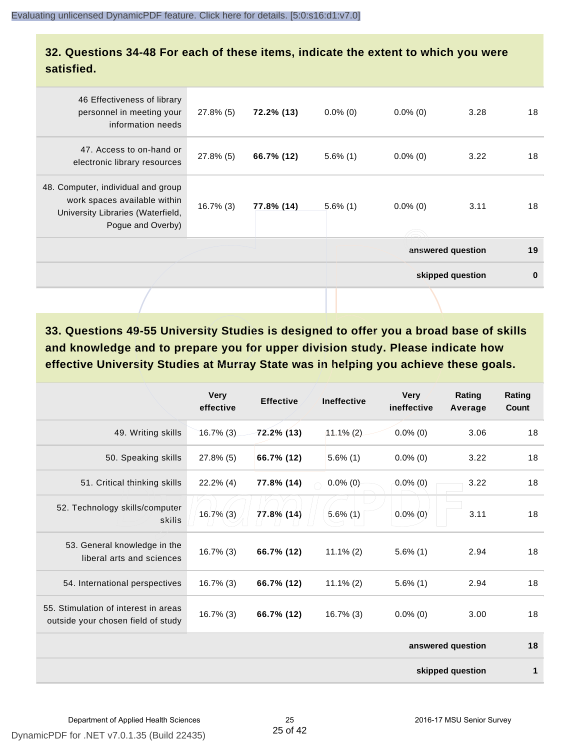#### **32. Questions 34-48 For each of these items, indicate the extent to which you were satisfied.**

| 46 Effectiveness of library<br>personnel in meeting your<br>information needs                                                | $27.8\%$ (5) | 72.2% (13) | $0.0\%$ (0) | $0.0\%$ (0) | 3.28              | 18       |
|------------------------------------------------------------------------------------------------------------------------------|--------------|------------|-------------|-------------|-------------------|----------|
| 47. Access to on-hand or<br>electronic library resources                                                                     | $27.8\%$ (5) | 66.7% (12) | $5.6\%$ (1) | $0.0\%$ (0) | 3.22              | 18       |
| 48. Computer, individual and group<br>work spaces available within<br>University Libraries (Waterfield,<br>Pogue and Overby) | $16.7\%$ (3) | 77.8% (14) | $5.6\%$ (1) | $0.0\%$ (0) | 3.11              | 18       |
|                                                                                                                              |              |            |             |             | answered question | 19       |
|                                                                                                                              |              |            |             |             | skipped question  | $\bf{0}$ |
|                                                                                                                              |              |            |             |             |                   |          |

**33. Questions 49-55 University Studies is designed to offer you a broad base of skills and knowledge and to prepare you for upper division study. Please indicate how effective University Studies at Murray State was in helping you achieve these goals.**

|                                                                            | <b>Very</b><br>effective | <b>Effective</b> | <b>Ineffective</b> | <b>Very</b><br>ineffective | Rating<br>Average | Rating<br>Count |
|----------------------------------------------------------------------------|--------------------------|------------------|--------------------|----------------------------|-------------------|-----------------|
| 49. Writing skills                                                         | $16.7\%$ (3)             | $72.2\%$ (13)    | $11.1\%(2)$        | $0.0\%$ (0)                | 3.06              | 18              |
| 50. Speaking skills                                                        | $27.8\%$ (5)             | 66.7% (12)       | $5.6\%$ (1)        | $0.0\%$ (0)                | 3.22              | 18              |
| 51. Critical thinking skills                                               | $22.2\%$ (4)             | 77.8% (14)       | $0.0\%$ (0)        | $0.0\%$ (0)                | 3.22              | 18              |
| 52. Technology skills/computer<br>skills                                   | $16.7\%$ (3)             | 77.8% (14)       | $5.6\%$ (1)        | $0.0\%$ (0)                | 3.11              | 18              |
| 53. General knowledge in the<br>liberal arts and sciences                  | $16.7\%$ (3)             | 66.7% (12)       | $11.1\%$ (2)       | $5.6\%$ (1)                | 2.94              | 18              |
| 54. International perspectives                                             | $16.7\%$ (3)             | 66.7% (12)       | $11.1\% (2)$       | $5.6\%$ (1)                | 2.94              | 18              |
| 55. Stimulation of interest in areas<br>outside your chosen field of study | $16.7\%$ (3)             | 66.7% (12)       | $16.7\%$ (3)       | $0.0\%$ (0)                | 3.00              | 18              |
|                                                                            |                          |                  |                    |                            | answered question | 18              |
|                                                                            |                          |                  |                    |                            | skipped question  | 1               |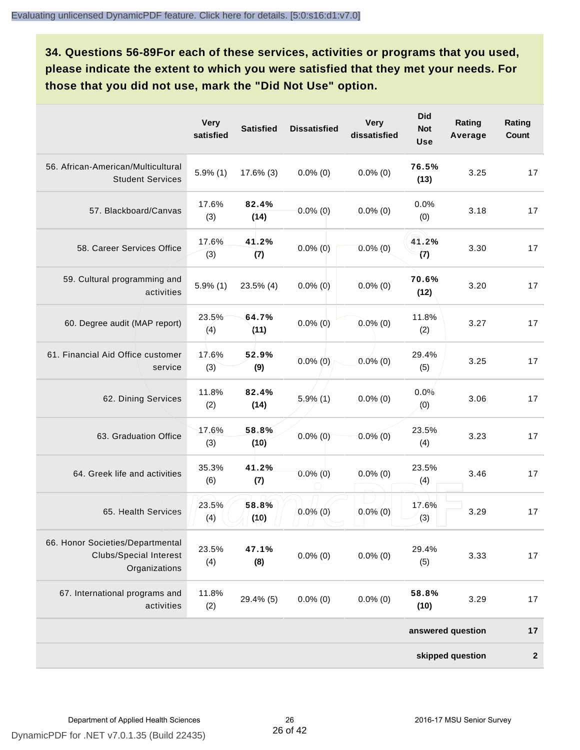**34. Questions 56-89For each of these services, activities or programs that you used, please indicate the extent to which you were satisfied that they met your needs. For those that you did not use, mark the "Did Not Use" option.**

|                                                                                    | <b>Very</b><br>satisfied | <b>Satisfied</b> | <b>Dissatisfied</b> | <b>Very</b><br>dissatisfied | <b>Did</b><br><b>Not</b><br><b>Use</b> | Rating<br>Average | Rating<br>Count |
|------------------------------------------------------------------------------------|--------------------------|------------------|---------------------|-----------------------------|----------------------------------------|-------------------|-----------------|
| 56. African-American/Multicultural<br><b>Student Services</b>                      | $5.9\%$ (1)              | $17.6\%$ (3)     | $0.0\%$ (0)         | $0.0\%$ (0)                 | 76.5%<br>(13)                          | 3.25              | 17              |
| 57. Blackboard/Canvas                                                              | 17.6%<br>(3)             | 82.4%<br>(14)    | $0.0\%$ (0)         | $0.0\%$ (0)                 | 0.0%<br>(0)                            | 3.18              | 17              |
| 58. Career Services Office                                                         | 17.6%<br>(3)             | 41.2%<br>(7)     | $0.0\%$ (0)         | $0.0\%$ (0)                 | 41.2%<br>(7)                           | 3.30              | 17              |
| 59. Cultural programming and<br>activities                                         | $5.9\%$ (1)              | $23.5\%$ (4)     | $0.0\%$ (0)         | $0.0\%$ (0)                 | 70.6%<br>(12)                          | 3.20              | 17              |
| 60. Degree audit (MAP report)                                                      | 23.5%<br>(4)             | 64.7%<br>(11)    | $0.0\%$ (0)         | $0.0\%$ (0)                 | 11.8%<br>(2)                           | 3.27              | 17              |
| 61. Financial Aid Office customer<br>service                                       | 17.6%<br>(3)             | 52.9%<br>(9)     | $0.0\%$ (0)         | $0.0\%$ (0)                 | 29.4%<br>(5)                           | 3.25              | 17              |
| 62. Dining Services                                                                | 11.8%<br>(2)             | 82.4%<br>(14)    | $5.9\%$ (1)         | $0.0\%$ (0)                 | 0.0%<br>(0)                            | 3.06              | 17              |
| 63. Graduation Office                                                              | 17.6%<br>(3)             | 58.8%<br>(10)    | $0.0\%$ (0)         | $0.0\%$ (0)                 | 23.5%<br>(4)                           | 3.23              | 17              |
| 64. Greek life and activities                                                      | 35.3%<br>(6)             | 41.2%<br>(7)     | $0.0\%$ (0)         | $0.0\%$ (0)                 | 23.5%<br>(4)                           | 3.46              | 17              |
| 65. Health Services                                                                | 23.5%<br>(4)             | 58.8%<br>(10)    | $0.0\%$ (0)         | $0.0\%$ (0)                 | 17.6%<br>(3)                           | 3.29              | 17              |
| 66. Honor Societies/Departmental<br><b>Clubs/Special Interest</b><br>Organizations | 23.5%<br>(4)             | 47.1%<br>(8)     | $0.0\%$ (0)         | $0.0\%$ (0)                 | 29.4%<br>(5)                           | 3.33              | 17              |
| 67. International programs and<br>activities                                       | 11.8%<br>(2)             | 29.4% (5)        | $0.0\%$ (0)         | $0.0\%$ (0)                 | 58.8%<br>(10)                          | 3.29              | 17              |
|                                                                                    |                          |                  |                     |                             |                                        | answered question | 17              |
|                                                                                    |                          |                  |                     |                             |                                        | skipped question  | $\mathbf{2}$    |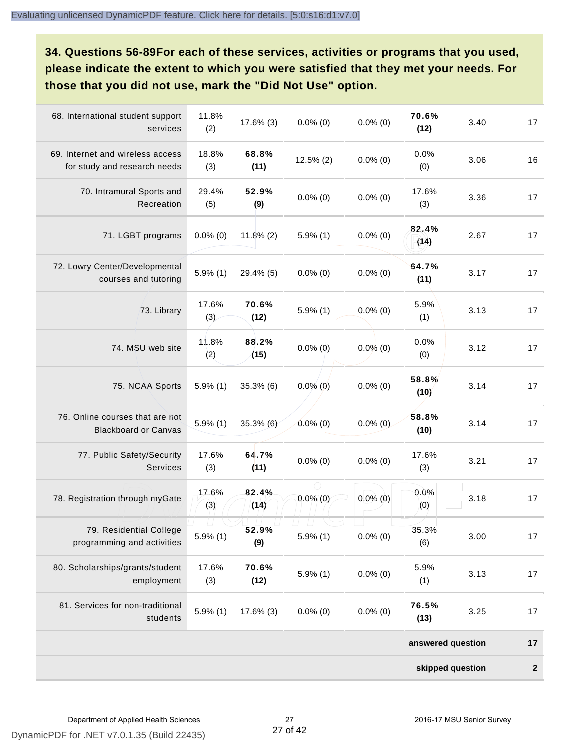**34. Questions 56-89For each of these services, activities or programs that you used, please indicate the extent to which you were satisfied that they met your needs. For those that you did not use, mark the "Did Not Use" option.**

| 68. International student support<br>services                    | 11.8%<br>(2) | 17.6% (3)     | $0.0\%$ (0)  | $0.0\%$ (0) | 70.6%<br>(12)     | 3.40 | 17           |
|------------------------------------------------------------------|--------------|---------------|--------------|-------------|-------------------|------|--------------|
| 69. Internet and wireless access<br>for study and research needs | 18.8%<br>(3) | 68.8%<br>(11) | $12.5\%$ (2) | $0.0\%$ (0) | 0.0%<br>(0)       | 3.06 | 16           |
| 70. Intramural Sports and<br>Recreation                          | 29.4%<br>(5) | 52.9%<br>(9)  | $0.0\%$ (0)  | $0.0\%$ (0) | 17.6%<br>(3)      | 3.36 | 17           |
| 71. LGBT programs                                                | $0.0\%$ (0)  | $11.8\%$ (2)  | $5.9\%$ (1)  | $0.0\%$ (0) | 82.4%<br>(14)     | 2.67 | 17           |
| 72. Lowry Center/Developmental<br>courses and tutoring           | $5.9\%$ (1)  | 29.4% (5)     | $0.0\%$ (0)  | $0.0\%$ (0) | 64.7%<br>(11)     | 3.17 | 17           |
| 73. Library                                                      | 17.6%<br>(3) | 70.6%<br>(12) | $5.9\%$ (1)  | $0.0\%$ (0) | 5.9%<br>(1)       | 3.13 | 17           |
| 74. MSU web site                                                 | 11.8%<br>(2) | 88.2%<br>(15) | $0.0\%$ (0)  | $0.0\%$ (0) | 0.0%<br>(0)       | 3.12 | 17           |
| 75. NCAA Sports                                                  | $5.9\%$ (1)  | 35.3% (6)     | $0.0\%$ (0)  | $0.0\%$ (0) | 58.8%<br>(10)     | 3.14 | 17           |
| 76. Online courses that are not<br><b>Blackboard or Canvas</b>   | $5.9\%$ (1)  | 35.3% (6)     | $0.0\%$ (0)  | $0.0\%$ (0) | 58.8%<br>(10)     | 3.14 | 17           |
| 77. Public Safety/Security<br>Services                           | 17.6%<br>(3) | 64.7%<br>(11) | $0.0\%$ (0)  | $0.0\%$ (0) | 17.6%<br>(3)      | 3.21 | 17           |
| 78. Registration through myGate                                  | 17.6%<br>(3) | 82.4%<br>(14) | $0.0\%$ (0)  | $0.0\%$ (0) | 0.0%<br>(0)       | 3.18 | 17           |
| 79. Residential College<br>programming and activities            | $5.9\%$ (1)  | 52.9%<br>(9)  | $5.9\%$ (1)  | $0.0\%$ (0) | 35.3%<br>(6)      | 3.00 | $17$         |
| 80. Scholarships/grants/student<br>employment                    | 17.6%<br>(3) | 70.6%<br>(12) | $5.9\%$ (1)  | $0.0\%$ (0) | 5.9%<br>(1)       | 3.13 | 17           |
| 81. Services for non-traditional<br>students                     | $5.9\%$ (1)  | 17.6% (3)     | $0.0\%$ (0)  | $0.0\%$ (0) | 76.5%<br>(13)     | 3.25 | 17           |
|                                                                  |              |               |              |             | answered question |      | 17           |
|                                                                  |              |               |              |             | skipped question  |      | $\mathbf{2}$ |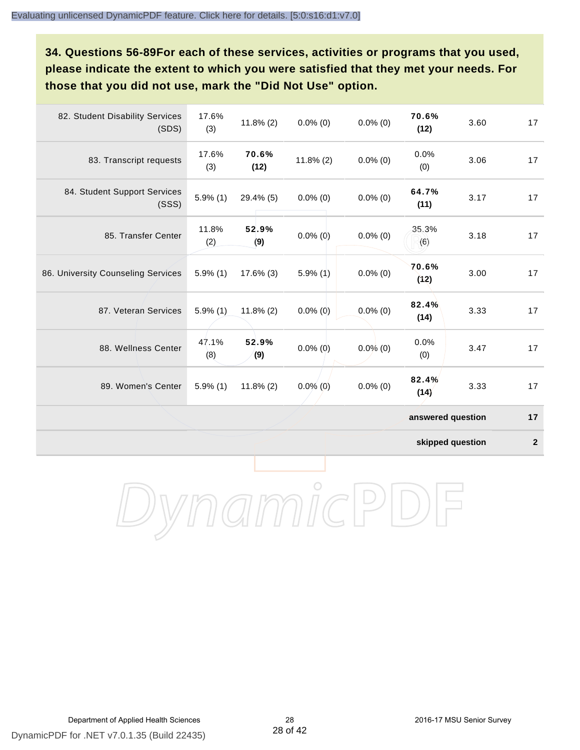**34. Questions 56-89For each of these services, activities or programs that you used, please indicate the extent to which you were satisfied that they met your needs. For those that you did not use, mark the "Did Not Use" option.**

| 82. Student Disability Services<br>(SDS) | 17.6%<br>(3) | $11.8\%$ (2)  | $0.0\%$ (0)  | $0.0\%$ (0) | 70.6%<br>(12)     | 3.60 | 17 |
|------------------------------------------|--------------|---------------|--------------|-------------|-------------------|------|----|
| 83. Transcript requests                  | 17.6%<br>(3) | 70.6%<br>(12) | $11.8\%$ (2) | $0.0\%$ (0) | 0.0%<br>(0)       | 3.06 | 17 |
| 84. Student Support Services<br>(SSS)    | $5.9\%$ (1)  | 29.4% (5)     | $0.0\%$ (0)  | $0.0\%$ (0) | 64.7%<br>(11)     | 3.17 | 17 |
| 85. Transfer Center                      | 11.8%<br>(2) | 52.9%<br>(9)  | $0.0\%$ (0)  | $0.0\%$ (0) | 35.3%<br>(6)      | 3.18 | 17 |
| 86. University Counseling Services       | $5.9\%$ (1)  | $17.6\%$ (3)  | $5.9\%$ (1)  | $0.0\%$ (0) | 70.6%<br>(12)     | 3.00 | 17 |
| 87. Veteran Services                     | $5.9\%$ (1)  | $11.8\%$ (2)  | $0.0\%$ (0)  | $0.0\%$ (0) | 82.4%<br>(14)     | 3.33 | 17 |
| 88. Wellness Center                      | 47.1%<br>(8) | 52.9%<br>(9)  | $0.0\%$ (0)  | $0.0\%$ (0) | 0.0%<br>(0)       | 3.47 | 17 |
| 89. Women's Center                       | $5.9\%$ (1)  | $11.8\%$ (2)  | $0.0\%$ (0)  | $0.0\%$ (0) | 82.4%<br>(14)     | 3.33 | 17 |
|                                          |              |               |              |             | answered question |      | 17 |

**skipped question 2**

DynamicPDF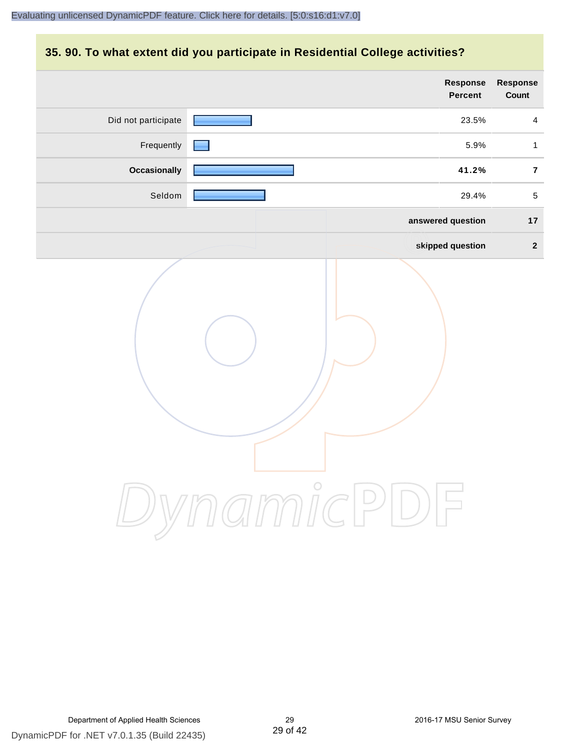#### **35. 90. To what extent did you participate in Residential College activities?**

|                     | Response<br>Percent  | Response<br>Count |
|---------------------|----------------------|-------------------|
| Did not participate | 23.5%                | $\overline{4}$    |
| Frequently          | 5.9%                 | $\mathbf{1}$      |
| <b>Occasionally</b> | 41.2%                | $\bf 7$           |
| Seldom              | 29.4%                | $\sqrt{5}$        |
|                     | answered question    | $17$              |
|                     | skipped question     | $\overline{2}$    |
|                     | mamicPi<br>$\bigcup$ |                   |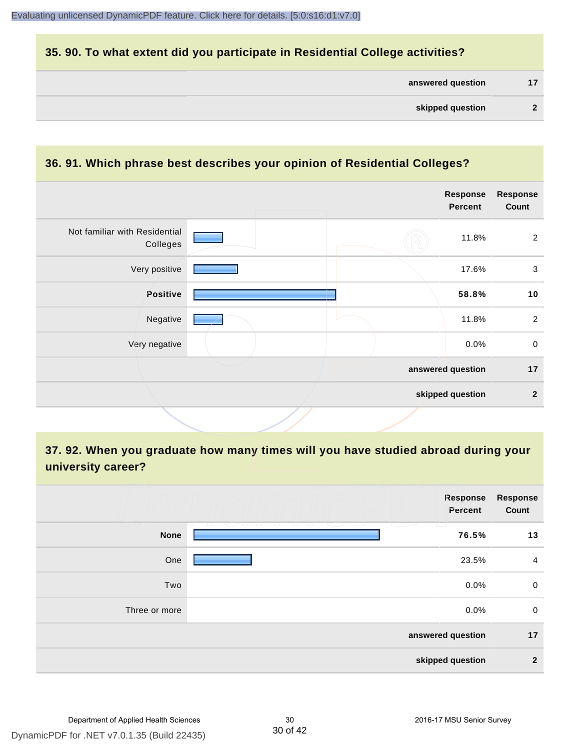#### **35. 90. To what extent did you participate in Residential College activities?**

#### **36. 91. Which phrase best describes your opinion of Residential Colleges?**

|                                           |  | <b>Response</b><br><b>Percent</b> | <b>Response</b><br>Count |
|-------------------------------------------|--|-----------------------------------|--------------------------|
| Not familiar with Residential<br>Colleges |  | 11.8%                             | 2                        |
| Very positive                             |  | 17.6%                             | 3                        |
| Positive                                  |  | 58.8%                             | 10                       |
| Negative                                  |  | 11.8%                             | $\overline{2}$           |
| Very negative                             |  | 0.0%                              | $\mathbf 0$              |
|                                           |  | answered question                 | 17                       |
|                                           |  | skipped question                  | $\overline{2}$           |

# **37. 92. When you graduate how many times will you have studied abroad during your university career?**

|               | Response<br>Percent   | <b>Response</b><br>Count |
|---------------|-----------------------|--------------------------|
| <b>None</b>   | T.<br>$\sim$<br>76.5% | 13                       |
| One           | 23.5%                 | $\overline{4}$           |
| Two           | 0.0%                  | 0                        |
| Three or more | 0.0%                  | 0                        |
|               | answered question     | 17                       |
|               | skipped question      | $\mathbf{2}$             |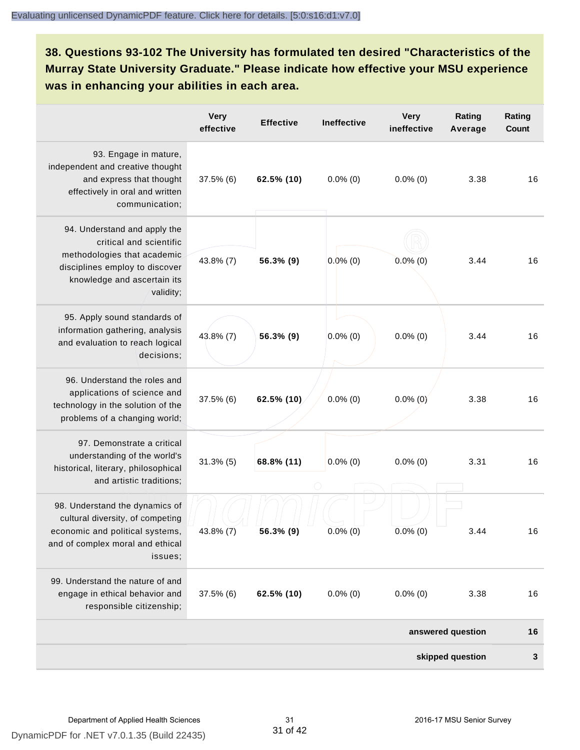# **38. Questions 93-102 The University has formulated ten desired "Characteristics of the Murray State University Graduate." Please indicate how effective your MSU experience was in enhancing your abilities in each area.**

|                                                                                                                                                                      | <b>Very</b><br>effective | <b>Effective</b> | <b>Ineffective</b> | <b>Very</b><br>ineffective | Rating<br>Average | Rating<br>Count |
|----------------------------------------------------------------------------------------------------------------------------------------------------------------------|--------------------------|------------------|--------------------|----------------------------|-------------------|-----------------|
| 93. Engage in mature,<br>independent and creative thought<br>and express that thought<br>effectively in oral and written<br>communication;                           | 37.5% (6)                | 62.5% (10)       | $0.0\%$ (0)        | $0.0\%$ (0)                | 3.38              | 16              |
| 94. Understand and apply the<br>critical and scientific<br>methodologies that academic<br>disciplines employ to discover<br>knowledge and ascertain its<br>validity; | 43.8% (7)                | 56.3% (9)        | $0.0\%$ (0)        | $0.0\%$ (0)                | 3.44              | 16              |
| 95. Apply sound standards of<br>information gathering, analysis<br>and evaluation to reach logical<br>decisions;                                                     | 43.8% (7)                | 56.3% (9)        | $0.0\%$ (0)        | $0.0\%$ (0)                | 3.44              | 16              |
| 96. Understand the roles and<br>applications of science and<br>technology in the solution of the<br>problems of a changing world;                                    | 37.5% (6)                | 62.5% (10)       | $0.0\%$ (0)        | $0.0\%$ (0)                | 3.38              | 16              |
| 97. Demonstrate a critical<br>understanding of the world's<br>historical, literary, philosophical<br>and artistic traditions;                                        | $31.3\%$ (5)             | 68.8% (11)       | $0.0\%$ (0)        | $0.0\%$ (0)                | 3.31              | 16              |
| 98. Understand the dynamics of<br>cultural diversity, of competing<br>economic and political systems,<br>and of complex moral and ethical<br>issues;                 | 43.8% (7)                | 56.3% (9)        | $0.0\%$ (0)        | $0.0\%$ (0)                | 3.44              | 16              |
| 99. Understand the nature of and<br>engage in ethical behavior and<br>responsible citizenship;                                                                       | 37.5% (6)                | 62.5% (10)       | $0.0\%$ (0)        | $0.0\%$ (0)                | 3.38              | 16              |
|                                                                                                                                                                      |                          |                  |                    |                            | answered question | 16              |
|                                                                                                                                                                      |                          |                  |                    |                            | skipped question  | 3               |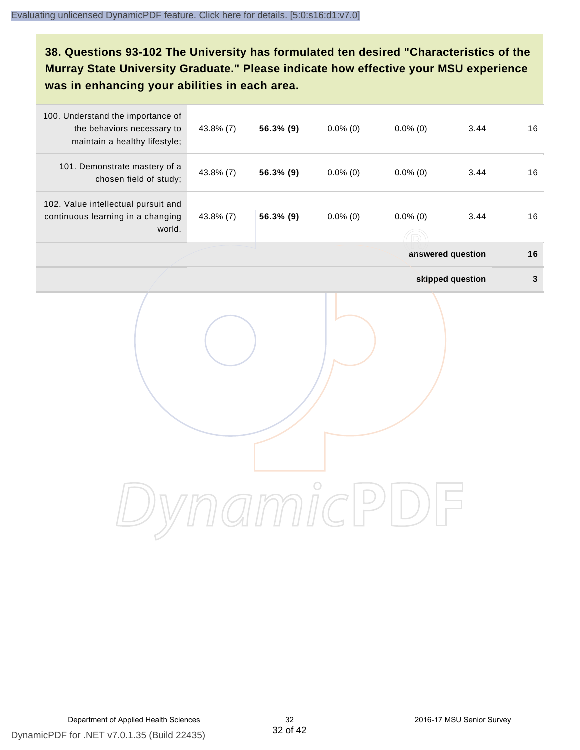# **38. Questions 93-102 The University has formulated ten desired "Characteristics of the Murray State University Graduate." Please indicate how effective your MSU experience was in enhancing your abilities in each area.**

| 100. Understand the importance of<br>the behaviors necessary to<br>maintain a healthy lifestyle; | 43.8% (7) | 56.3% (9) | $0.0\%$ (0) | $0.0\%$ (0)               | 3.44              | 16           |
|--------------------------------------------------------------------------------------------------|-----------|-----------|-------------|---------------------------|-------------------|--------------|
| 101. Demonstrate mastery of a<br>chosen field of study;                                          | 43.8% (7) | 56.3% (9) | $0.0\%$ (0) | $0.0\%$ (0)               | 3.44              | 16           |
| 102. Value intellectual pursuit and<br>continuous learning in a changing<br>world.               | 43.8% (7) | 56.3% (9) | $0.0\%$ (0) | $0.0\%$ (0)<br>$\sqrt{2}$ | 3.44              | 16           |
|                                                                                                  |           |           |             |                           | answered question | 16           |
|                                                                                                  |           |           |             |                           | skipped question  | $\mathbf{3}$ |
|                                                                                                  |           |           |             |                           |                   |              |
|                                                                                                  |           |           |             |                           |                   |              |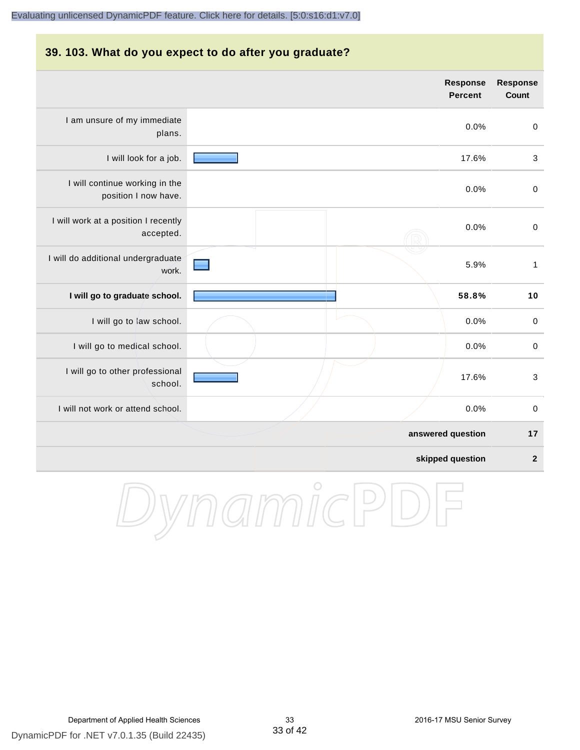#### **39. 103. What do you expect to do after you graduate?**

|                                                        | <b>Response</b><br><b>Percent</b> | <b>Response</b><br><b>Count</b> |
|--------------------------------------------------------|-----------------------------------|---------------------------------|
| I am unsure of my immediate<br>plans.                  | 0.0%                              | $\mathbf 0$                     |
| I will look for a job.                                 | 17.6%                             | $\mathbf{3}$                    |
| I will continue working in the<br>position I now have. | 0.0%                              | $\pmb{0}$                       |
| I will work at a position I recently<br>accepted.      | 0.0%                              | $\mathbf 0$                     |
| I will do additional undergraduate<br>work.            | 5.9%                              | $\mathbf{1}$                    |
| I will go to graduate school.                          | 58.8%                             | 10                              |
| I will go to law school.                               | 0.0%                              | $\pmb{0}$                       |
| I will go to medical school.                           | 0.0%                              | $\pmb{0}$                       |
| I will go to other professional<br>school.             | 17.6%                             | $\mathbf{3}$                    |
| I will not work or attend school.                      | 0.0%                              | $\pmb{0}$                       |
|                                                        | answered question                 | 17                              |
|                                                        | skipped question                  | $\overline{\mathbf{2}}$         |

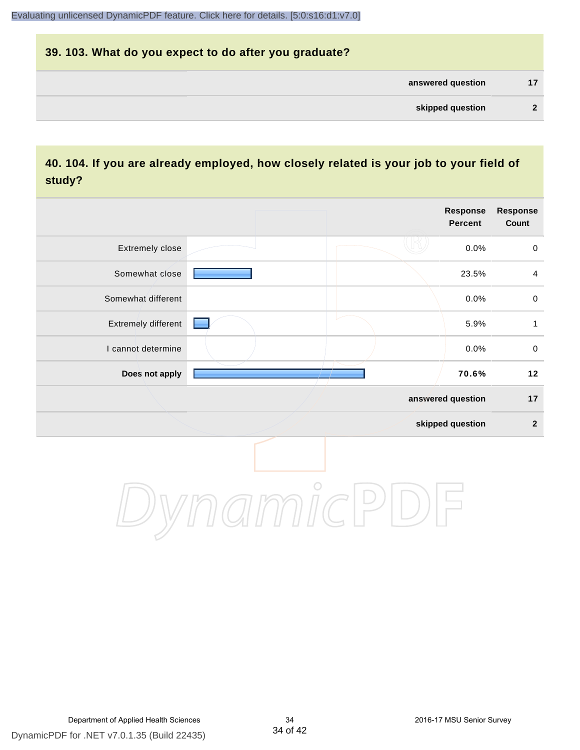# **39. 103. What do you expect to do after you graduate? answered question 17 skipped question 2**

### **40. 104. If you are already employed, how closely related is your job to your field of study?**

|                     |                               | <b>Response</b><br><b>Percent</b> | <b>Response</b><br>Count |
|---------------------|-------------------------------|-----------------------------------|--------------------------|
| Extremely close     |                               | 0.0%                              | $\mathbf 0$              |
| Somewhat close      |                               | 23.5%                             | $\overline{4}$           |
| Somewhat different  |                               | 0.0%                              | $\pmb{0}$                |
| Extremely different |                               | 5.9%                              | 1                        |
| I cannot determine  |                               | 0.0%                              | $\mathbf 0$              |
| Does not apply      |                               | 70.6%                             | 12                       |
|                     |                               | answered question                 | 17                       |
|                     |                               | skipped question                  | $\mathbf{2}$             |
|                     | $\gamma$ // )) // (( $\sim$ ) |                                   |                          |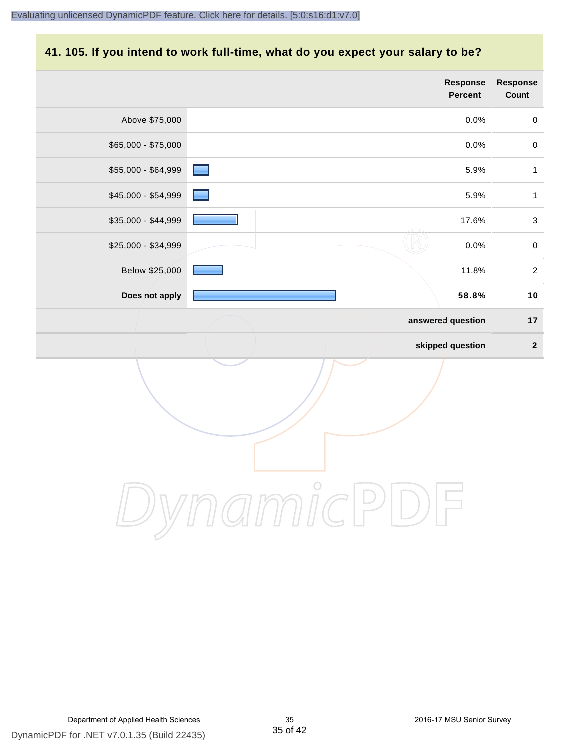# **41. 105. If you intend to work full-time, what do you expect your salary to be?**

|                     |         | Response<br>Percent | Response<br>Count       |
|---------------------|---------|---------------------|-------------------------|
| Above \$75,000      |         | 0.0%                | $\pmb{0}$               |
| \$65,000 - \$75,000 |         | 0.0%                | $\pmb{0}$               |
| \$55,000 - \$64,999 | ٠       | 5.9%                | $\mathbf{1}$            |
| \$45,000 - \$54,999 |         | 5.9%                | $\mathbf{1}$            |
| \$35,000 - \$44,999 |         | 17.6%               | $\sqrt{3}$              |
| \$25,000 - \$34,999 |         | 0.0%                | $\pmb{0}$               |
| Below \$25,000      |         | 11.8%               | $\sqrt{2}$              |
| Does not apply      |         | 58.8%               | $10$                    |
|                     |         | answered question   | $17$                    |
|                     |         | skipped question    | $\overline{\mathbf{2}}$ |
|                     | $\circ$ |                     |                         |
|                     |         |                     |                         |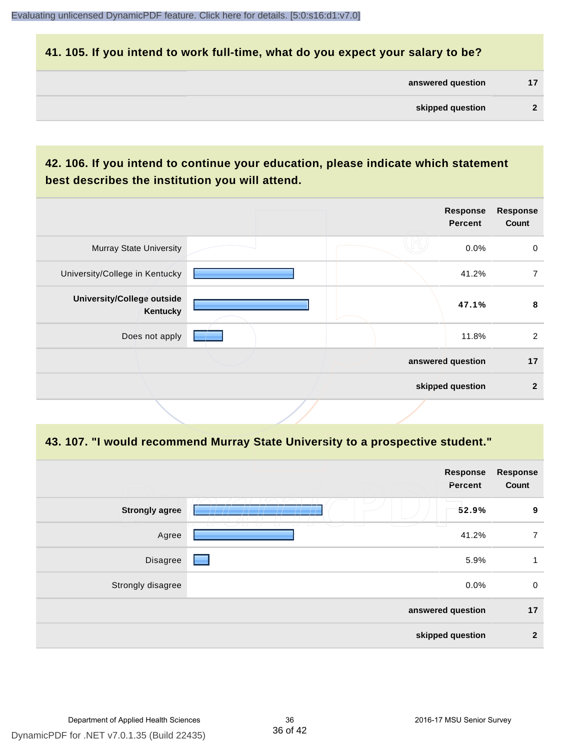#### **41. 105. If you intend to work full-time, what do you expect your salary to be?**

| answered question |  |
|-------------------|--|
|                   |  |

## **42. 106. If you intend to continue your education, please indicate which statement best describes the institution you will attend.**

| <b>Murray State University</b><br>0.0%<br>41.2%<br>University/College in Kentucky<br><b>University/College outside</b><br>47.1%<br>Kentucky<br>11.8%<br>Does not apply<br>answered question |  | <b>Response</b><br><b>Percent</b> | <b>Response</b><br>Count |
|---------------------------------------------------------------------------------------------------------------------------------------------------------------------------------------------|--|-----------------------------------|--------------------------|
|                                                                                                                                                                                             |  |                                   | 0                        |
|                                                                                                                                                                                             |  |                                   | 7                        |
|                                                                                                                                                                                             |  |                                   | 8                        |
|                                                                                                                                                                                             |  |                                   | $\overline{2}$           |
|                                                                                                                                                                                             |  |                                   | 17                       |
| skipped question                                                                                                                                                                            |  |                                   | $\mathbf{2}$             |

#### **43. 107. "I would recommend Murray State University to a prospective student."**

| <b>Response</b><br>Count | Response<br>Percent |                                                                           |                       |
|--------------------------|---------------------|---------------------------------------------------------------------------|-----------------------|
| 9                        | 52.9%<br>Ħ          |                                                                           | <b>Strongly agree</b> |
| $\overline{7}$           | 41.2%               | 727<br>$\overline{\phantom{a}}$<br>$\top$<br>$\sqrt{2}$<br>$\overline{a}$ | Agree                 |
| 1                        | 5.9%                | <b>Contract Contract Contract</b>                                         | Disagree              |
| 0                        | 0.0%                |                                                                           | Strongly disagree     |
| 17                       | answered question   |                                                                           |                       |
| $\overline{2}$           | skipped question    |                                                                           |                       |
|                          |                     |                                                                           |                       |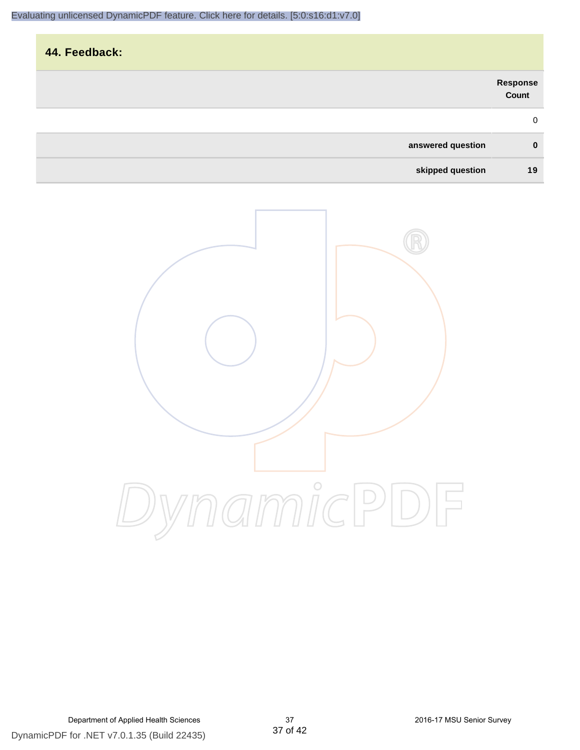| 44. Feedback:     |                   |
|-------------------|-------------------|
|                   | Response<br>Count |
|                   | $\mathbf 0$       |
| answered question | $\mathbf 0$       |
| skipped question  | 19                |

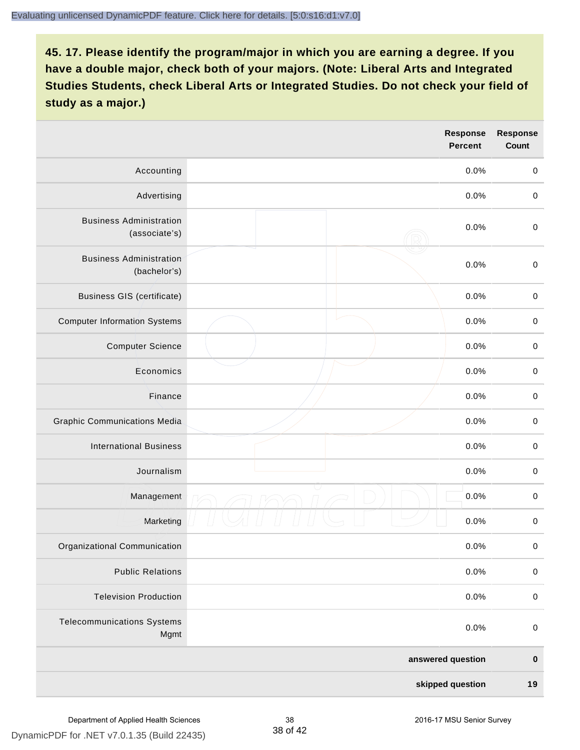|                                                 |  | <b>Response</b><br><b>Percent</b> | <b>Response</b><br>Count |
|-------------------------------------------------|--|-----------------------------------|--------------------------|
| Accounting                                      |  | 0.0%                              | $\mathbf 0$              |
| Advertising                                     |  | 0.0%                              | $\mathbf 0$              |
| <b>Business Administration</b><br>(associate's) |  | 0.0%                              | $\mathbf 0$              |
| <b>Business Administration</b><br>(bachelor's)  |  | 0.0%                              | $\pmb{0}$                |
| <b>Business GIS (certificate)</b>               |  | 0.0%                              | $\,0\,$                  |
| <b>Computer Information Systems</b>             |  | 0.0%                              | $\pmb{0}$                |
| <b>Computer Science</b>                         |  | 0.0%                              | $\pmb{0}$                |
| Economics                                       |  | 0.0%                              | $\mathbf 0$              |
| Finance                                         |  | 0.0%                              | $\mathbf 0$              |
| <b>Graphic Communications Media</b>             |  | 0.0%                              | $\mathbf 0$              |
| <b>International Business</b>                   |  | 0.0%                              | $\pmb{0}$                |
| Journalism                                      |  | 0.0%                              | $\pmb{0}$                |
| Management                                      |  | 0.0%                              | $\pmb{0}$                |
| Marketing                                       |  | 0.0%                              | $\pmb{0}$                |
| Organizational Communication                    |  | 0.0%                              | $\pmb{0}$                |
| <b>Public Relations</b>                         |  | 0.0%                              | $\pmb{0}$                |
| <b>Television Production</b>                    |  | 0.0%                              | $\pmb{0}$                |
| <b>Telecommunications Systems</b><br>Mgmt       |  | 0.0%                              | $\pmb{0}$                |
|                                                 |  | answered question                 | $\pmb{0}$                |
| skipped question                                |  | 19                                |                          |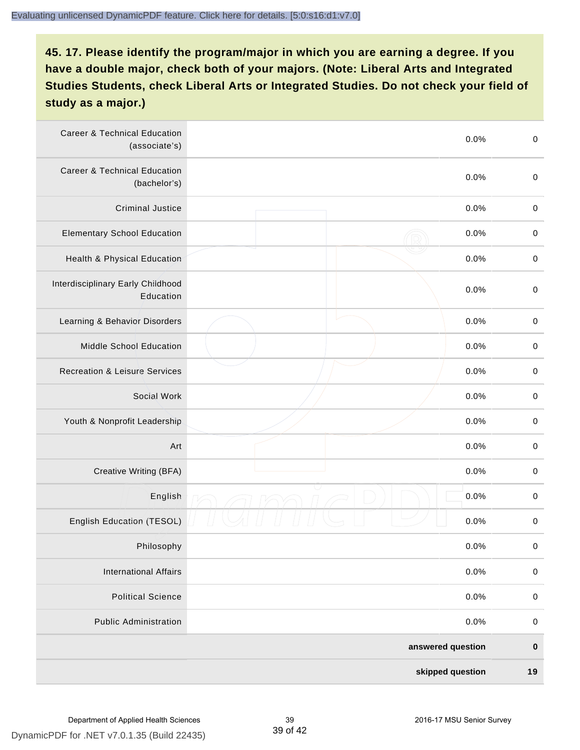| <b>Career &amp; Technical Education</b><br>(associate's) |  | 0.0%              | $\pmb{0}$   |
|----------------------------------------------------------|--|-------------------|-------------|
| <b>Career &amp; Technical Education</b><br>(bachelor's)  |  | 0.0%              | $\pmb{0}$   |
| <b>Criminal Justice</b>                                  |  | 0.0%              | $\,0\,$     |
| <b>Elementary School Education</b>                       |  | 0.0%              | $\mathbf 0$ |
| Health & Physical Education                              |  | 0.0%              | $\pmb{0}$   |
| Interdisciplinary Early Childhood<br>Education           |  | 0.0%              | $\pmb{0}$   |
| Learning & Behavior Disorders                            |  | 0.0%              | $\,0\,$     |
| Middle School Education                                  |  | 0.0%              | $\mathbf 0$ |
| <b>Recreation &amp; Leisure Services</b>                 |  | 0.0%              | $\mathbf 0$ |
| Social Work                                              |  | 0.0%              | $\pmb{0}$   |
| Youth & Nonprofit Leadership                             |  | 0.0%              | $\,0\,$     |
| Art                                                      |  | 0.0%              | $\,0\,$     |
| Creative Writing (BFA)                                   |  | 0.0%              | $\mathbf 0$ |
| English                                                  |  | 0.0%              | $\mathbf 0$ |
| English Education (TESOL)                                |  | 0.0%              | 0           |
| Philosophy                                               |  | 0.0%              | 0           |
| <b>International Affairs</b>                             |  | 0.0%              | $\mathbf 0$ |
| <b>Political Science</b>                                 |  | 0.0%              | $\mathbf 0$ |
| <b>Public Administration</b>                             |  | 0.0%              | $\mathbf 0$ |
|                                                          |  | answered question | $\pmb{0}$   |
| skipped question                                         |  |                   | 19          |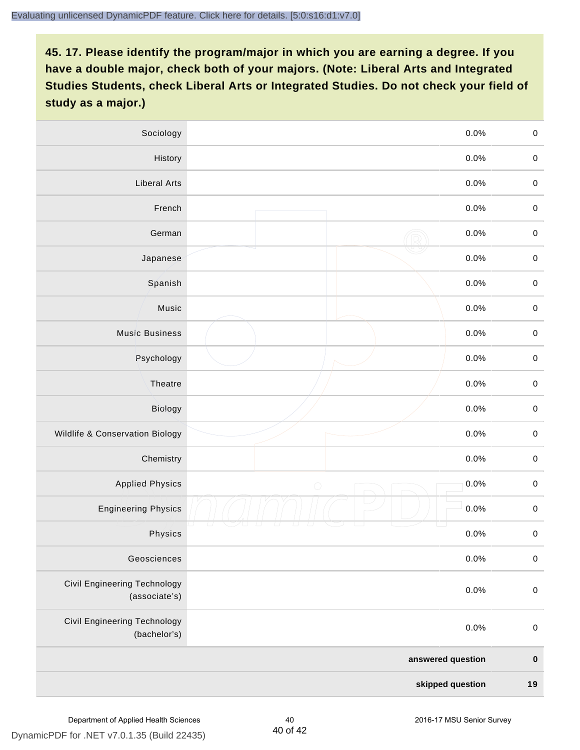| Sociology                                     | 0.0%               | $\mathbf 0$         |
|-----------------------------------------------|--------------------|---------------------|
| History                                       | 0.0%               | $\mathbf 0$         |
| <b>Liberal Arts</b>                           | 0.0%               | $\mathbf 0$         |
| French                                        | 0.0%               | $\pmb{0}$           |
| German                                        | 0.0%               | $\mathbf 0$         |
| Japanese                                      | 0.0%               | $\mathbf 0$         |
| Spanish                                       | 0.0%               | $\mathbf 0$         |
| Music                                         | 0.0%               | $\mathbf 0$         |
| <b>Music Business</b>                         | 0.0%               | $\pmb{0}$           |
| Psychology                                    | 0.0%               | $\mathbf 0$         |
| Theatre                                       | 0.0%               | $\mathbf 0$         |
| Biology                                       | 0.0%               | $\mathbf 0$         |
| Wildlife & Conservation Biology               | 0.0%               | $\mathbf 0$         |
| Chemistry                                     | 0.0%               | $\pmb{0}$           |
| <b>Applied Physics</b>                        | 0.0%<br>$\bigcirc$ | $\mathbf 0$         |
| <b>Engineering Physics</b>                    | 0.0%               | $\mathbf 0$         |
| Physics                                       | 0.0%               | $\mathsf{O}\xspace$ |
| Geosciences                                   | 0.0%               | $\mathbf 0$         |
| Civil Engineering Technology<br>(associate's) | 0.0%               | $\pmb{0}$           |
| Civil Engineering Technology<br>(bachelor's)  | 0.0%               | $\mathbf 0$         |
|                                               | answered question  | $\pmb{0}$           |
| skipped question                              |                    | 19                  |